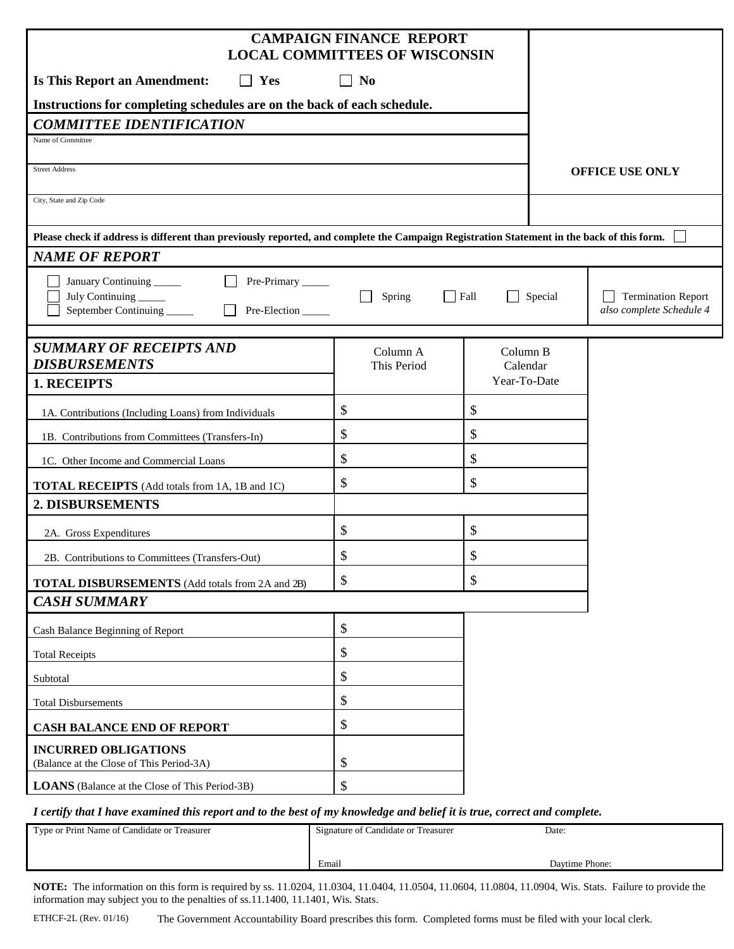|                                                                                                                                           | <b>CAMPAIGN FINANCE REPORT</b><br><b>LOCAL COMMITTEES OF WISCONSIN</b> |                      |                                                                  |
|-------------------------------------------------------------------------------------------------------------------------------------------|------------------------------------------------------------------------|----------------------|------------------------------------------------------------------|
| <b>Is This Report an Amendment:</b><br>$\Box$ Yes                                                                                         | $\Box$ No                                                              |                      |                                                                  |
| Instructions for completing schedules are on the back of each schedule.                                                                   |                                                                        |                      |                                                                  |
| <b>COMMITTEE IDENTIFICATION</b>                                                                                                           |                                                                        |                      |                                                                  |
| Name of Committee                                                                                                                         |                                                                        |                      |                                                                  |
| <b>Street Address</b>                                                                                                                     |                                                                        |                      | <b>OFFICE USE ONLY</b>                                           |
| City, State and Zip Code                                                                                                                  |                                                                        |                      |                                                                  |
| Please check if address is different than previously reported, and complete the Campaign Registration Statement in the back of this form. |                                                                        |                      |                                                                  |
| <b>NAME OF REPORT</b>                                                                                                                     |                                                                        |                      |                                                                  |
| January Continuing<br>Pre-Primary_____                                                                                                    |                                                                        |                      |                                                                  |
| July Continuing<br>September Continuing<br>Pre-Election                                                                                   | $\Box$ Fall<br>Spring                                                  | $\perp$              | Special<br><b>Termination Report</b><br>also complete Schedule 4 |
| <b>SUMMARY OF RECEIPTS AND</b><br><b>DISBURSEMENTS</b>                                                                                    | Column A<br>This Period                                                | Column B<br>Calendar |                                                                  |
| 1. RECEIPTS                                                                                                                               |                                                                        | Year-To-Date         |                                                                  |
| 1A. Contributions (Including Loans) from Individuals                                                                                      | \$                                                                     | \$                   |                                                                  |
| 1B. Contributions from Committees (Transfers-In)                                                                                          | \$                                                                     | \$                   |                                                                  |
| 1C. Other Income and Commercial Loans                                                                                                     | \$                                                                     | \$                   |                                                                  |
| <b>TOTAL RECEIPTS</b> (Add totals from 1A, 1B and 1C)                                                                                     | \$                                                                     | \$                   |                                                                  |
| 2. DISBURSEMENTS                                                                                                                          |                                                                        |                      |                                                                  |
| 2A. Gross Expenditures                                                                                                                    | \$                                                                     | \$                   |                                                                  |
| 2B. Contributions to Committees (Transfers-Out)                                                                                           | \$                                                                     | \$                   |                                                                  |
| <b>TOTAL DISBURSEMENTS</b> (Add totals from 2A and 2B)                                                                                    | \$                                                                     | \$                   |                                                                  |
| <b>CASH SUMMARY</b>                                                                                                                       |                                                                        |                      |                                                                  |
| Cash Balance Beginning of Report                                                                                                          | \$                                                                     |                      |                                                                  |
| <b>Total Receipts</b>                                                                                                                     | \$                                                                     |                      |                                                                  |
| Subtotal                                                                                                                                  | \$                                                                     |                      |                                                                  |
| <b>Total Disbursements</b>                                                                                                                | \$                                                                     |                      |                                                                  |
| <b>CASH BALANCE END OF REPORT</b>                                                                                                         | \$                                                                     |                      |                                                                  |
| <b>INCURRED OBLIGATIONS</b><br>(Balance at the Close of This Period-3A)                                                                   | \$                                                                     |                      |                                                                  |
| <b>LOANS</b> (Balance at the Close of This Period-3B)                                                                                     | \$                                                                     |                      |                                                                  |
| I certify that I have examined this report and to the hest of my knowledge and helief it is true, correct and complete                    |                                                                        |                      |                                                                  |

*I certify that I have examined this report and to the best of my knowledge and belief it is true, correct and complete.*

| Type or Print Name of Candidate or Treasurer | Signature of Candidate or Treasurer | Date:          |
|----------------------------------------------|-------------------------------------|----------------|
|                                              |                                     |                |
|                                              | Email                               | Davtime Phone: |
|                                              |                                     |                |

**NOTE:** The information on this form is required by ss. 11.0204, 11.0304, 11.0404, 11.0504, 11.0604, 11.0804, 11.0904, Wis. Stats. Failure to provide the information may subject you to the penalties of ss.11.1400, 11.1401, Wis. Stats.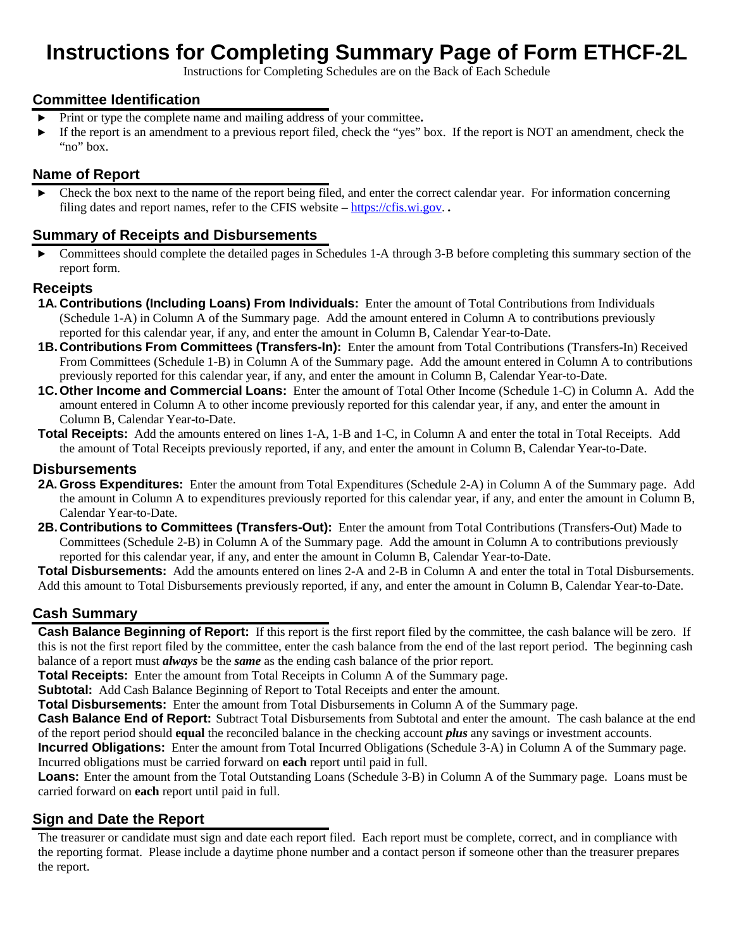# **Instructions for Completing Summary Page of Form ETHCF-2L**

Instructions for Completing Schedules are on the Back of Each Schedule

#### **Committee Identification**

- ► Print or type the complete name and mailing address of your committee**.**
- ► If the report is an amendment to a previous report filed, check the "yes" box. If the report is NOT an amendment, check the "no" box.

#### **Name of Report**

 $\triangleright$  Check the box next to the name of the report being filed, and enter the correct calendar year. For information concerning filing dates and report names, refer to the CFIS website – [https://cfis.wi.gov.](https://cfis.wi.gov/) *.*

#### **Summary of Receipts and Disbursements**

► Committees should complete the detailed pages in Schedules 1-A through 3-B before completing this summary section of the report form.

#### **Receipts**

- **1A. Contributions (Including Loans) From Individuals:** Enter the amount of Total Contributions from Individuals (Schedule 1-A) in Column A of the Summary page. Add the amount entered in Column A to contributions previously reported for this calendar year, if any, and enter the amount in Column B, Calendar Year-to-Date.
- **1B.Contributions From Committees (Transfers-In):** Enter the amount from Total Contributions (Transfers-In) Received From Committees (Schedule 1-B) in Column A of the Summary page. Add the amount entered in Column A to contributions previously reported for this calendar year, if any, and enter the amount in Column B, Calendar Year-to-Date.
- **1C.Other Income and Commercial Loans:** Enter the amount of Total Other Income (Schedule 1-C) in Column A. Add the amount entered in Column A to other income previously reported for this calendar year, if any, and enter the amount in Column B, Calendar Year-to-Date.
- **Total Receipts:** Add the amounts entered on lines 1-A, 1-B and 1-C, in Column A and enter the total in Total Receipts. Add the amount of Total Receipts previously reported, if any, and enter the amount in Column B, Calendar Year-to-Date.

#### **Disbursements**

- **2A. Gross Expenditures:** Enter the amount from Total Expenditures (Schedule 2-A) in Column A of the Summary page. Add the amount in Column A to expenditures previously reported for this calendar year, if any, and enter the amount in Column B, Calendar Year-to-Date.
- **2B.Contributions to Committees (Transfers-Out):** Enter the amount from Total Contributions (Transfers-Out) Made to Committees (Schedule 2-B) in Column A of the Summary page. Add the amount in Column A to contributions previously reported for this calendar year, if any, and enter the amount in Column B, Calendar Year-to-Date.

**Total Disbursements:** Add the amounts entered on lines 2-A and 2-B in Column A and enter the total in Total Disbursements. Add this amount to Total Disbursements previously reported, if any, and enter the amount in Column B, Calendar Year-to-Date.

#### **Cash Summary**

**Cash Balance Beginning of Report:** If this report is the first report filed by the committee, the cash balance will be zero. If this is not the first report filed by the committee, enter the cash balance from the end of the last report period. The beginning cash balance of a report must *always* be the *same* as the ending cash balance of the prior report.

**Total Receipts:** Enter the amount from Total Receipts in Column A of the Summary page.

**Subtotal:** Add Cash Balance Beginning of Report to Total Receipts and enter the amount.

**Total Disbursements:** Enter the amount from Total Disbursements in Column A of the Summary page.

**Cash Balance End of Report:** Subtract Total Disbursements from Subtotal and enter the amount. The cash balance at the end of the report period should **equal** the reconciled balance in the checking account *plus* any savings or investment accounts.

**Incurred Obligations:** Enter the amount from Total Incurred Obligations (Schedule 3-A) in Column A of the Summary page. Incurred obligations must be carried forward on **each** report until paid in full.

**Loans:** Enter the amount from the Total Outstanding Loans (Schedule 3-B) in Column A of the Summary page. Loans must be carried forward on **each** report until paid in full.

#### **Sign and Date the Report**

The treasurer or candidate must sign and date each report filed. Each report must be complete, correct, and in compliance with the reporting format. Please include a daytime phone number and a contact person if someone other than the treasurer prepares the report.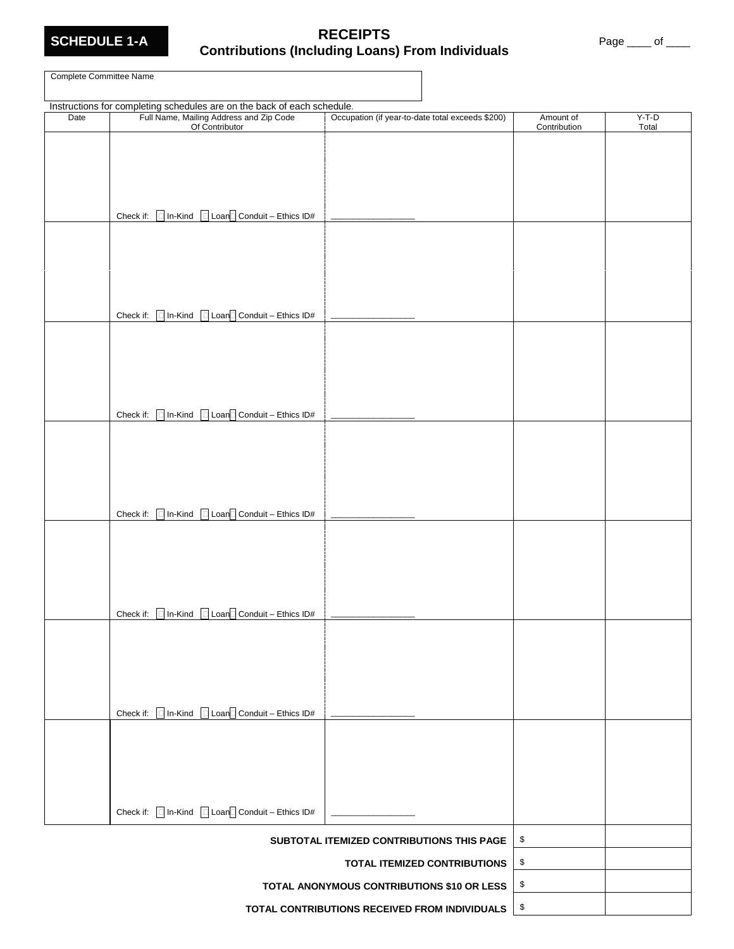

# **SCHEDULE 1-A RECEIPTS Contributions (Including Loans) From Individuals** Page \_\_\_\_ of \_\_\_\_

Complete Committee Name

|                                               | Instructions for completing schedules are on the back of each schedule.                                                  |                                                  |                           |                  |
|-----------------------------------------------|--------------------------------------------------------------------------------------------------------------------------|--------------------------------------------------|---------------------------|------------------|
| Date                                          | Full Name, Mailing Address and Zip Code<br>Of Contributor                                                                | Occupation (if year-to-date total exceeds \$200) | Amount of<br>Contribution | $Y-T-D$<br>Total |
|                                               |                                                                                                                          |                                                  |                           |                  |
|                                               |                                                                                                                          |                                                  |                           |                  |
|                                               |                                                                                                                          |                                                  |                           |                  |
|                                               |                                                                                                                          |                                                  |                           |                  |
|                                               | Check if: $\boxed{\phantom{a}}$ In-Kind $\phantom{a}\boxed{\phantom{a}}$ Loan $\boxed{\phantom{a}}$ Conduit – Ethics ID# |                                                  |                           |                  |
|                                               |                                                                                                                          |                                                  |                           |                  |
|                                               |                                                                                                                          |                                                  |                           |                  |
|                                               |                                                                                                                          |                                                  |                           |                  |
|                                               |                                                                                                                          |                                                  |                           |                  |
|                                               | Check if: $\Box$ In-Kind $\Box$ Loan $\Box$ Conduit – Ethics ID#                                                         |                                                  |                           |                  |
|                                               |                                                                                                                          |                                                  |                           |                  |
|                                               |                                                                                                                          |                                                  |                           |                  |
|                                               |                                                                                                                          |                                                  |                           |                  |
|                                               |                                                                                                                          |                                                  |                           |                  |
|                                               |                                                                                                                          |                                                  |                           |                  |
|                                               | Check if: $\boxed{\Box}$ In-Kind $\boxed{\Box}$ Loan $\boxed{\Box}$ Conduit - Ethics ID#                                 |                                                  |                           |                  |
|                                               |                                                                                                                          |                                                  |                           |                  |
|                                               |                                                                                                                          |                                                  |                           |                  |
|                                               |                                                                                                                          |                                                  |                           |                  |
|                                               |                                                                                                                          |                                                  |                           |                  |
|                                               | Check if: $\boxed{\phantom{a}}$ In-Kind $\phantom{a}\boxed{\phantom{a}}$ Loan $\boxed{\phantom{a}}$ Conduit – Ethics ID# |                                                  |                           |                  |
|                                               |                                                                                                                          |                                                  |                           |                  |
|                                               |                                                                                                                          |                                                  |                           |                  |
|                                               |                                                                                                                          |                                                  |                           |                  |
|                                               |                                                                                                                          |                                                  |                           |                  |
|                                               | Check if: $\boxed{\Box}$ In-Kind $\boxed{\Box}$ Loan $\boxed{\Box}$ Conduit – Ethics ID#                                 |                                                  |                           |                  |
|                                               |                                                                                                                          |                                                  |                           |                  |
|                                               |                                                                                                                          |                                                  |                           |                  |
|                                               |                                                                                                                          |                                                  |                           |                  |
|                                               |                                                                                                                          |                                                  |                           |                  |
|                                               |                                                                                                                          |                                                  |                           |                  |
|                                               | Check if: $\boxed{\phantom{a}}$ In-Kind $\phantom{a}\boxed{\phantom{a}}$ Loan $\boxed{\phantom{a}}$ Conduit – Ethics ID# |                                                  |                           |                  |
|                                               |                                                                                                                          |                                                  |                           |                  |
|                                               |                                                                                                                          |                                                  |                           |                  |
|                                               |                                                                                                                          |                                                  |                           |                  |
|                                               |                                                                                                                          |                                                  |                           |                  |
|                                               | Check if: $\Box$ In-Kind $\Box$ Loan $\Box$ Conduit - Ethics ID#                                                         |                                                  |                           |                  |
|                                               |                                                                                                                          |                                                  |                           |                  |
|                                               |                                                                                                                          | SUBTOTAL ITEMIZED CONTRIBUTIONS THIS PAGE        | \$<br>\$                  |                  |
|                                               | <b>TOTAL ITEMIZED CONTRIBUTIONS</b>                                                                                      |                                                  |                           |                  |
|                                               |                                                                                                                          | TOTAL ANONYMOUS CONTRIBUTIONS \$10 OR LESS       | \$                        |                  |
| TOTAL CONTRIBUTIONS RECEIVED FROM INDIVIDUALS |                                                                                                                          |                                                  | \$                        |                  |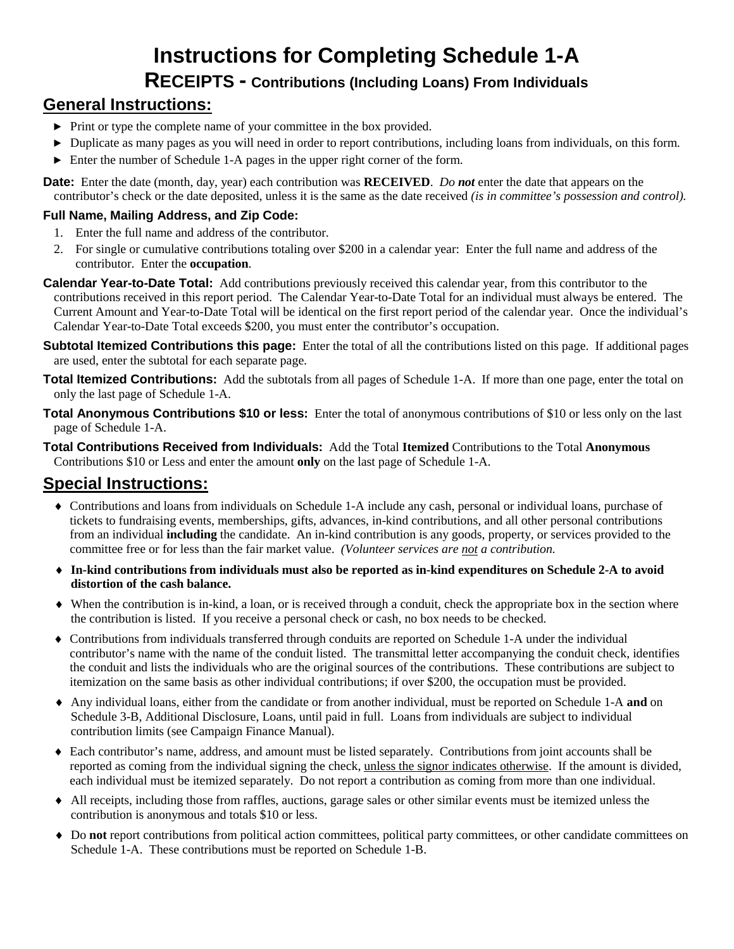# **Instructions for Completing Schedule 1-A**

# **RECEIPTS - Contributions (Including Loans) From Individuals**

# **General Instructions:**

- ► Print or type the complete name of your committee in the box provided.
- ► Duplicate as many pages as you will need in order to report contributions, including loans from individuals, on this form.
- ► Enter the number of Schedule 1-A pages in the upper right corner of the form.

**Date:** Enter the date (month, day, year) each contribution was **RECEIVED**. *Do not* enter the date that appears on the contributor's check or the date deposited, unless it is the same as the date received *(is in committee's possession and control).*

#### **Full Name, Mailing Address, and Zip Code:**

- 1. Enter the full name and address of the contributor.
- 2. For single or cumulative contributions totaling over \$200 in a calendar year: Enter the full name and address of the contributor. Enter the **occupation**.
- **Calendar Year-to-Date Total:** Add contributions previously received this calendar year, from this contributor to the contributions received in this report period. The Calendar Year-to-Date Total for an individual must always be entered. The Current Amount and Year-to-Date Total will be identical on the first report period of the calendar year. Once the individual's Calendar Year-to-Date Total exceeds \$200, you must enter the contributor's occupation.
- **Subtotal Itemized Contributions this page:** Enter the total of all the contributions listed on this page. If additional pages are used, enter the subtotal for each separate page.
- **Total Itemized Contributions:** Add the subtotals from all pages of Schedule 1-A. If more than one page, enter the total on only the last page of Schedule 1-A.
- **Total Anonymous Contributions \$10 or less:** Enter the total of anonymous contributions of \$10 or less only on the last page of Schedule 1-A.
- **Total Contributions Received from Individuals:** Add the Total **Itemized** Contributions to the Total **Anonymous** Contributions \$10 or Less and enter the amount **only** on the last page of Schedule 1-A.

- ♦ Contributions and loans from individuals on Schedule 1-A include any cash, personal or individual loans, purchase of tickets to fundraising events, memberships, gifts, advances, in-kind contributions, and all other personal contributions from an individual **including** the candidate. An in-kind contribution is any goods, property, or services provided to the committee free or for less than the fair market value. *(Volunteer services are not a contribution.*
- ♦ **In-kind contributions from individuals must also be reported as in-kind expenditures on Schedule 2-A to avoid distortion of the cash balance.**
- ♦ When the contribution is in-kind, a loan, or is received through a conduit, check the appropriate box in the section where the contribution is listed. If you receive a personal check or cash, no box needs to be checked.
- ♦ Contributions from individuals transferred through conduits are reported on Schedule 1-A under the individual contributor's name with the name of the conduit listed. The transmittal letter accompanying the conduit check, identifies the conduit and lists the individuals who are the original sources of the contributions. These contributions are subject to itemization on the same basis as other individual contributions; if over \$200, the occupation must be provided.
- ♦ Any individual loans, either from the candidate or from another individual, must be reported on Schedule 1-A **and** on Schedule 3-B, Additional Disclosure, Loans, until paid in full. Loans from individuals are subject to individual contribution limits (see Campaign Finance Manual).
- ♦ Each contributor's name, address, and amount must be listed separately. Contributions from joint accounts shall be reported as coming from the individual signing the check, unless the signor indicates otherwise. If the amount is divided, each individual must be itemized separately. Do not report a contribution as coming from more than one individual.
- ♦ All receipts, including those from raffles, auctions, garage sales or other similar events must be itemized unless the contribution is anonymous and totals \$10 or less.
- ♦ Do **not** report contributions from political action committees, political party committees, or other candidate committees on Schedule 1-A. These contributions must be reported on Schedule 1-B.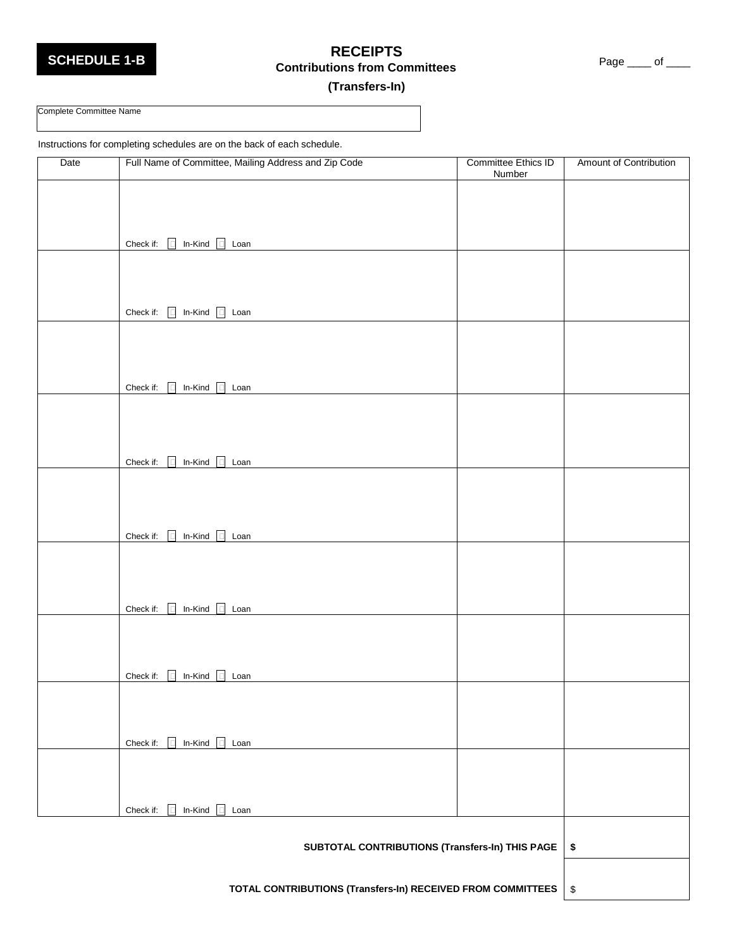### **SCHEDULE 1-B RECEIPTS** Page \_\_\_\_ of \_\_\_\_ **Contributions from Committees**

#### **(Transfers-In)**

# Complete Committee Name

Instructions for completing schedules are on the back of each schedule.

| Date | Full Name of Committee, Mailing Address and Zip Code        | Committee Ethics ID<br>Number | Amount of Contribution  |
|------|-------------------------------------------------------------|-------------------------------|-------------------------|
|      |                                                             |                               |                         |
|      |                                                             |                               |                         |
|      |                                                             |                               |                         |
|      | Check if: $\Box$ In-Kind $\Box$ Loan                        |                               |                         |
|      |                                                             |                               |                         |
|      |                                                             |                               |                         |
|      |                                                             |                               |                         |
|      | Check if: $\Box$ In-Kind $\Box$ Loan                        |                               |                         |
|      |                                                             |                               |                         |
|      |                                                             |                               |                         |
|      | In-Kind $\Box$ Loan<br>Check if:<br>$\Box$                  |                               |                         |
|      |                                                             |                               |                         |
|      |                                                             |                               |                         |
|      |                                                             |                               |                         |
|      | Check if: 0 In-Kind c Loan                                  |                               |                         |
|      |                                                             |                               |                         |
|      |                                                             |                               |                         |
|      |                                                             |                               |                         |
|      | Check if: $\Box$ In-Kind $\Box$ Loan                        |                               |                         |
|      |                                                             |                               |                         |
|      |                                                             |                               |                         |
|      |                                                             |                               |                         |
|      | Check if: 0 In-Kind 0 Loan                                  |                               |                         |
|      |                                                             |                               |                         |
|      |                                                             |                               |                         |
|      | In-Kind $\Box$ Loan<br>Check if:<br>$\Box$                  |                               |                         |
|      |                                                             |                               |                         |
|      |                                                             |                               |                         |
|      |                                                             |                               |                         |
|      | In-Kind $\Box$ Loan<br>Check if:<br>$\Box$                  |                               |                         |
|      |                                                             |                               |                         |
|      |                                                             |                               |                         |
|      | In-Kind $\Box$ Loan<br>Check if:<br>$\Box$                  |                               |                         |
|      |                                                             |                               |                         |
|      | SUBTOTAL CONTRIBUTIONS (Transfers-In) THIS PAGE             |                               | \$                      |
|      |                                                             |                               |                         |
|      | TOTAL CONTRIBUTIONS (Transfers-In) RECEIVED FROM COMMITTEES |                               | $\sqrt[6]{\frac{1}{2}}$ |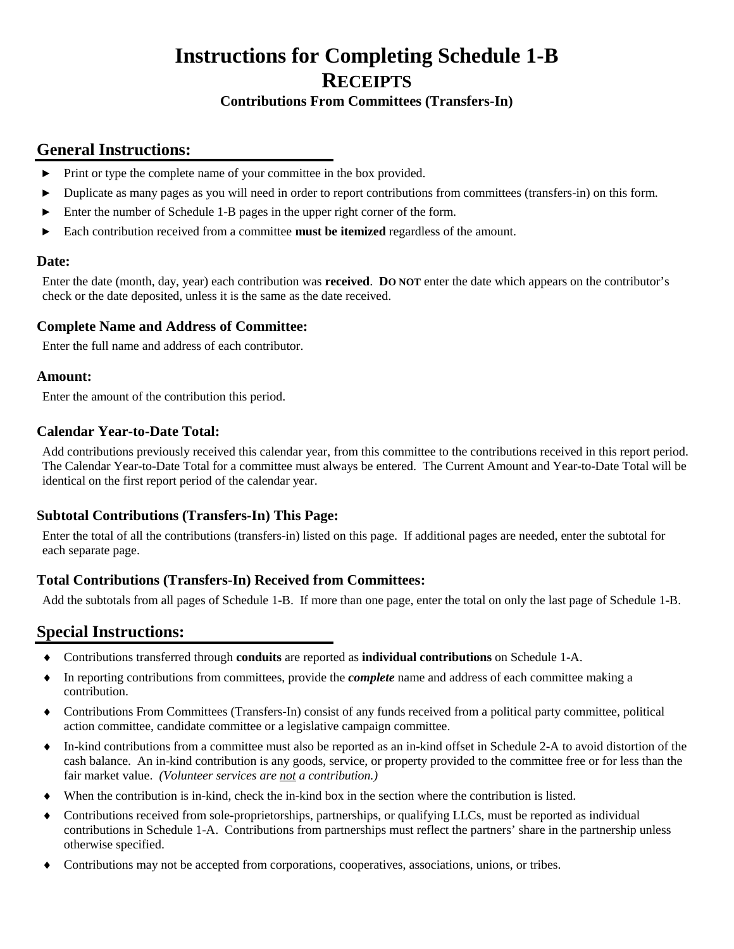# **Instructions for Completing Schedule 1-B RECEIPTS**

#### **Contributions From Committees (Transfers-In)**

### **General Instructions:**

- ► Print or type the complete name of your committee in the box provided.
- ► Duplicate as many pages as you will need in order to report contributions from committees (transfers-in) on this form.
- ► Enter the number of Schedule 1-B pages in the upper right corner of the form.
- ► Each contribution received from a committee **must be itemized** regardless of the amount.

#### **Date:**

Enter the date (month, day, year) each contribution was **received**. **DO NOT** enter the date which appears on the contributor's check or the date deposited, unless it is the same as the date received.

#### **Complete Name and Address of Committee:**

Enter the full name and address of each contributor.

#### **Amount:**

Enter the amount of the contribution this period.

#### **Calendar Year-to-Date Total:**

Add contributions previously received this calendar year, from this committee to the contributions received in this report period. The Calendar Year-to-Date Total for a committee must always be entered. The Current Amount and Year-to-Date Total will be identical on the first report period of the calendar year.

#### **Subtotal Contributions (Transfers-In) This Page:**

Enter the total of all the contributions (transfers-in) listed on this page. If additional pages are needed, enter the subtotal for each separate page.

#### **Total Contributions (Transfers-In) Received from Committees:**

Add the subtotals from all pages of Schedule 1-B. If more than one page, enter the total on only the last page of Schedule 1-B.

- ♦ Contributions transferred through **conduits** are reported as **individual contributions** on Schedule 1-A.
- ♦ In reporting contributions from committees, provide the *complete* name and address of each committee making a contribution.
- ♦ Contributions From Committees (Transfers-In) consist of any funds received from a political party committee, political action committee, candidate committee or a legislative campaign committee.
- ♦ In-kind contributions from a committee must also be reported as an in-kind offset in Schedule 2-A to avoid distortion of the cash balance. An in-kind contribution is any goods, service, or property provided to the committee free or for less than the fair market value. *(Volunteer services are not a contribution.)*
- ♦ When the contribution is in-kind, check the in-kind box in the section where the contribution is listed.
- ♦ Contributions received from sole-proprietorships, partnerships, or qualifying LLCs, must be reported as individual contributions in Schedule 1-A. Contributions from partnerships must reflect the partners' share in the partnership unless otherwise specified.
- ♦ Contributions may not be accepted from corporations, cooperatives, associations, unions, or tribes.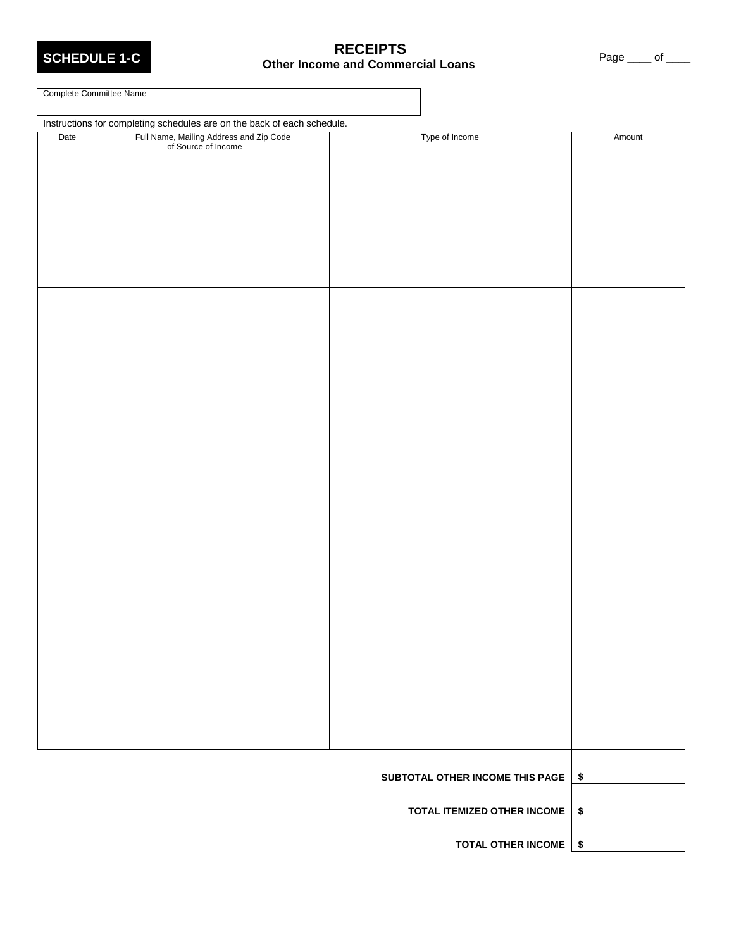# **SCHEDULE 1-C**<br> **SCHEDULE 1-C**<br> **Other Income and Commercial Loans** Page \_\_\_\_ of \_\_\_\_

Complete Committee Name

Instructions for completing schedules are on the back of each schedule. Date Full Name, Mailing Address and Zip Code of Source of Income Type of Income Amount h h h **SUBTOTAL OTHER INCOME THIS PAGE \$ TOTAL ITEMIZED OTHER INCOME \$ TOTAL OTHER INCOME \$**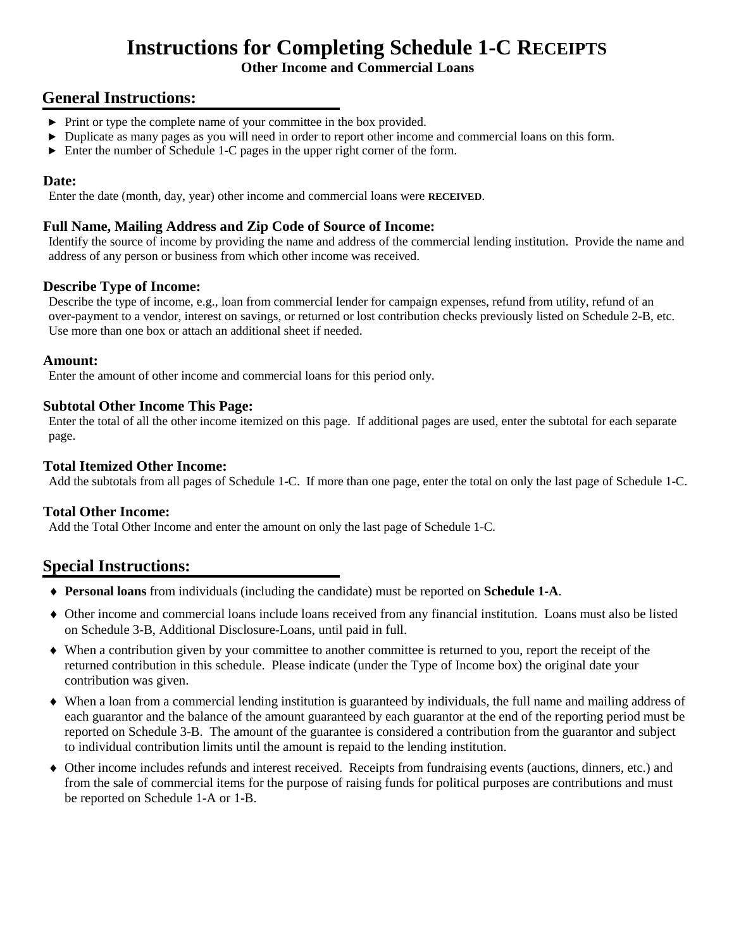# **Instructions for Completing Schedule 1-C RECEIPTS**

#### **Other Income and Commercial Loans**

### **General Instructions:**

- ► Print or type the complete name of your committee in the box provided.
- ► Duplicate as many pages as you will need in order to report other income and commercial loans on this form.
- ► Enter the number of Schedule 1-C pages in the upper right corner of the form.

#### **Date:**

Enter the date (month, day, year) other income and commercial loans were **RECEIVED**.

#### **Full Name, Mailing Address and Zip Code of Source of Income:**

Identify the source of income by providing the name and address of the commercial lending institution. Provide the name and address of any person or business from which other income was received.

#### **Describe Type of Income:**

Describe the type of income, e.g., loan from commercial lender for campaign expenses, refund from utility, refund of an over-payment to a vendor, interest on savings, or returned or lost contribution checks previously listed on Schedule 2-B, etc. Use more than one box or attach an additional sheet if needed.

#### **Amount:**

Enter the amount of other income and commercial loans for this period only.

#### **Subtotal Other Income This Page:**

Enter the total of all the other income itemized on this page. If additional pages are used, enter the subtotal for each separate page.

#### **Total Itemized Other Income:**

Add the subtotals from all pages of Schedule 1-C. If more than one page, enter the total on only the last page of Schedule 1-C.

#### **Total Other Income:**

Add the Total Other Income and enter the amount on only the last page of Schedule 1-C.

- ♦ **Personal loans** from individuals (including the candidate) must be reported on **Schedule 1-A**.
- ♦ Other income and commercial loans include loans received from any financial institution. Loans must also be listed on Schedule 3-B, Additional Disclosure-Loans, until paid in full.
- ♦ When a contribution given by your committee to another committee is returned to you, report the receipt of the returned contribution in this schedule. Please indicate (under the Type of Income box) the original date your contribution was given.
- ♦ When a loan from a commercial lending institution is guaranteed by individuals, the full name and mailing address of each guarantor and the balance of the amount guaranteed by each guarantor at the end of the reporting period must be reported on Schedule 3-B. The amount of the guarantee is considered a contribution from the guarantor and subject to individual contribution limits until the amount is repaid to the lending institution.
- ♦ Other income includes refunds and interest received. Receipts from fundraising events (auctions, dinners, etc.) and from the sale of commercial items for the purpose of raising funds for political purposes are contributions and must be reported on Schedule 1-A or 1-B.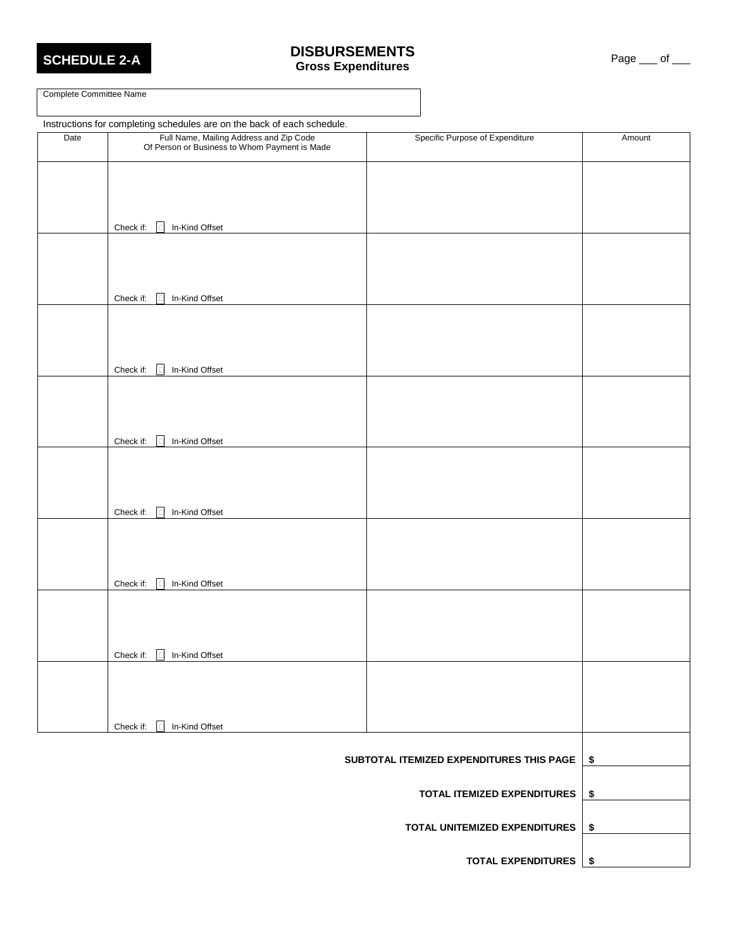

#### **SCHEDULE 2-A DISBURSEMENTS CORRESS EXPENSIVES**<br> **Gross Expenditures**

Complete Committee Name

|      | Instructions for completing schedules are on the back of each schedule.                  |                                          |        |
|------|------------------------------------------------------------------------------------------|------------------------------------------|--------|
| Date | Full Name, Mailing Address and Zip Code<br>Of Person or Business to Whom Payment is Made | Specific Purpose of Expenditure          | Amount |
|      |                                                                                          |                                          |        |
|      |                                                                                          |                                          |        |
|      | $\Box$<br>In-Kind Offset<br>Check if:                                                    |                                          |        |
|      |                                                                                          |                                          |        |
|      |                                                                                          |                                          |        |
|      | Check if:<br>In-Kind Offset<br>$\Box$                                                    |                                          |        |
|      |                                                                                          |                                          |        |
|      |                                                                                          |                                          |        |
|      | Check if:<br>In-Kind Offset<br>$\Box$                                                    |                                          |        |
|      |                                                                                          |                                          |        |
|      |                                                                                          |                                          |        |
|      | In-Kind Offset<br>Check if:<br><u>I</u> ⊡                                                |                                          |        |
|      |                                                                                          |                                          |        |
|      |                                                                                          |                                          |        |
|      | In-Kind Offset<br>Check if:<br>Iп                                                        |                                          |        |
|      |                                                                                          |                                          |        |
|      |                                                                                          |                                          |        |
|      | Check if:<br>In-Kind Offset<br>$\mathsf{I}$                                              |                                          |        |
|      |                                                                                          |                                          |        |
|      |                                                                                          |                                          |        |
|      | Check if:<br>In-Kind Offset<br>$\Box$                                                    |                                          |        |
|      |                                                                                          |                                          |        |
|      |                                                                                          |                                          |        |
|      | In-Kind Offset<br>Check if:                                                              |                                          |        |
|      |                                                                                          | SUBTOTAL ITEMIZED EXPENDITURES THIS PAGE | \$     |
|      |                                                                                          | TOTAL ITEMIZED EXPENDITURES              | \$     |
|      |                                                                                          |                                          |        |
|      |                                                                                          | TOTAL UNITEMIZED EXPENDITURES            | \$     |
|      |                                                                                          | <b>TOTAL EXPENDITURES</b>                | \$     |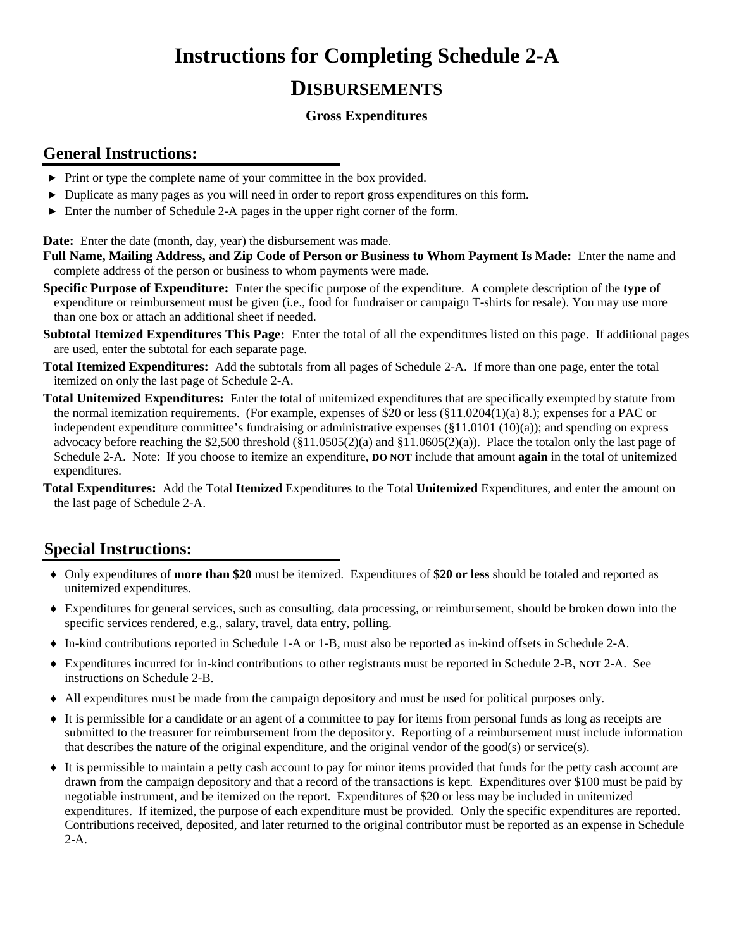# **Instructions for Completing Schedule 2-A**

# **DISBURSEMENTS**

#### **Gross Expenditures**

### **General Instructions:**

- ► Print or type the complete name of your committee in the box provided.
- ► Duplicate as many pages as you will need in order to report gross expenditures on this form.
- ► Enter the number of Schedule 2-A pages in the upper right corner of the form.

**Date:** Enter the date (month, day, year) the disbursement was made.

- **Full Name, Mailing Address, and Zip Code of Person or Business to Whom Payment Is Made:** Enter the name and complete address of the person or business to whom payments were made.
- **Specific Purpose of Expenditure:** Enter the specific purpose of the expenditure. A complete description of the **type** of expenditure or reimbursement must be given (i.e., food for fundraiser or campaign T-shirts for resale). You may use more than one box or attach an additional sheet if needed.
- **Subtotal Itemized Expenditures This Page:** Enter the total of all the expenditures listed on this page. If additional pages are used, enter the subtotal for each separate page.
- **Total Itemized Expenditures:** Add the subtotals from all pages of Schedule 2-A. If more than one page, enter the total itemized on only the last page of Schedule 2-A.
- **Total Unitemized Expenditures:** Enter the total of unitemized expenditures that are specifically exempted by statute from the normal itemization requirements. (For example, expenses of \$20 or less (§11.0204(1)(a) 8.); expenses for a PAC or independent expenditure committee's fundraising or administrative expenses (§11.0101 (10)(a)); and spending on express advocacy before reaching the \$2,500 threshold  $(\$11.0505(2)(a)$  and  $\$11.0605(2)(a)$ ). Place the totalon only the last page of Schedule 2-A. Note: If you choose to itemize an expenditure, **DO NOT** include that amount **again** in the total of unitemized expenditures.
- **Total Expenditures:** Add the Total **Itemized** Expenditures to the Total **Unitemized** Expenditures, and enter the amount on the last page of Schedule 2-A.

- ♦ Only expenditures of **more than \$20** must be itemized. Expenditures of **\$20 or less** should be totaled and reported as unitemized expenditures.
- ♦ Expenditures for general services, such as consulting, data processing, or reimbursement, should be broken down into the specific services rendered, e.g., salary, travel, data entry, polling.
- ♦ In-kind contributions reported in Schedule 1-A or 1-B, must also be reported as in-kind offsets in Schedule 2-A.
- ♦ Expenditures incurred for in-kind contributions to other registrants must be reported in Schedule 2-B, **NOT** 2-A. See instructions on Schedule 2-B.
- ♦ All expenditures must be made from the campaign depository and must be used for political purposes only.
- ♦ It is permissible for a candidate or an agent of a committee to pay for items from personal funds as long as receipts are submitted to the treasurer for reimbursement from the depository. Reporting of a reimbursement must include information that describes the nature of the original expenditure, and the original vendor of the good(s) or service(s).
- ♦ It is permissible to maintain a petty cash account to pay for minor items provided that funds for the petty cash account are drawn from the campaign depository and that a record of the transactions is kept. Expenditures over \$100 must be paid by negotiable instrument, and be itemized on the report. Expenditures of \$20 or less may be included in unitemized expenditures. If itemized, the purpose of each expenditure must be provided. Only the specific expenditures are reported. Contributions received, deposited, and later returned to the original contributor must be reported as an expense in Schedule 2-A.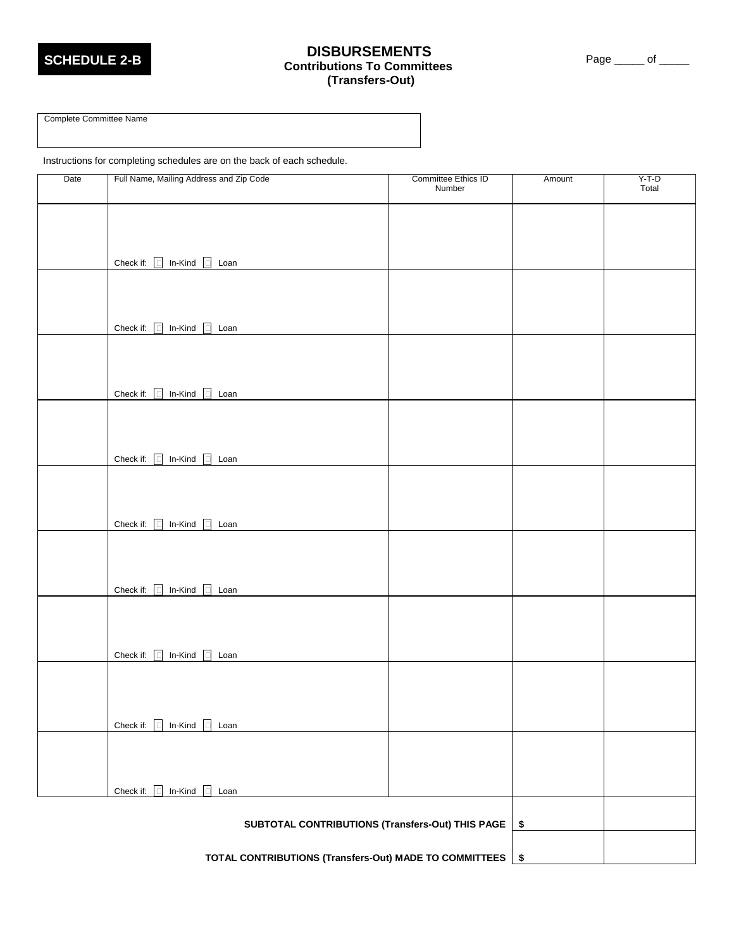

# **SCHEDULE 2-B DISBURSEMENTS Contributions To Committees (Transfers-Out)**

Page \_\_\_\_\_\_ of \_\_\_\_\_

Complete Committee Name

Instructions for completing schedules are on the back of each schedule.

| Date | Full Name, Mailing Address and Zip Code          | Committee Ethics ID<br>Number | Amount     | $Y-T-D$<br>Total |
|------|--------------------------------------------------|-------------------------------|------------|------------------|
|      |                                                  |                               |            |                  |
|      |                                                  |                               |            |                  |
|      |                                                  |                               |            |                  |
|      | Check if: $\Box$ In-Kind $\Box$ Loan             |                               |            |                  |
|      |                                                  |                               |            |                  |
|      |                                                  |                               |            |                  |
|      | Check if: $\Box$ In-Kind $\Box$ Loan             |                               |            |                  |
|      |                                                  |                               |            |                  |
|      |                                                  |                               |            |                  |
|      | Check if: $\Box$ In-Kind $\Box$ Loan             |                               |            |                  |
|      |                                                  |                               |            |                  |
|      |                                                  |                               |            |                  |
|      | Check if: $\Box$ In-Kind $\Box$ Loan             |                               |            |                  |
|      |                                                  |                               |            |                  |
|      |                                                  |                               |            |                  |
|      | Check if: $\Box$ In-Kind $\Box$ Loan             |                               |            |                  |
|      |                                                  |                               |            |                  |
|      |                                                  |                               |            |                  |
|      |                                                  |                               |            |                  |
|      | Check if: $\Box$ In-Kind $\Box$<br>Loan          |                               |            |                  |
|      |                                                  |                               |            |                  |
|      |                                                  |                               |            |                  |
|      | Check if: $\Box$ In-Kind $\Box$ Loan             |                               |            |                  |
|      |                                                  |                               |            |                  |
|      |                                                  |                               |            |                  |
|      | Check if: $\Box$ In-Kind $\Box$ Loan             |                               |            |                  |
|      |                                                  |                               |            |                  |
|      |                                                  |                               |            |                  |
|      | Check if: $\Box$ In-Kind $\Box$ Loan             |                               |            |                  |
|      |                                                  |                               |            |                  |
|      | SUBTOTAL CONTRIBUTIONS (Transfers-Out) THIS PAGE |                               | $\pmb{\$}$ |                  |

**TOTAL CONTRIBUTIONS (Transfers-Out) MADE TO COMMITTEES \$**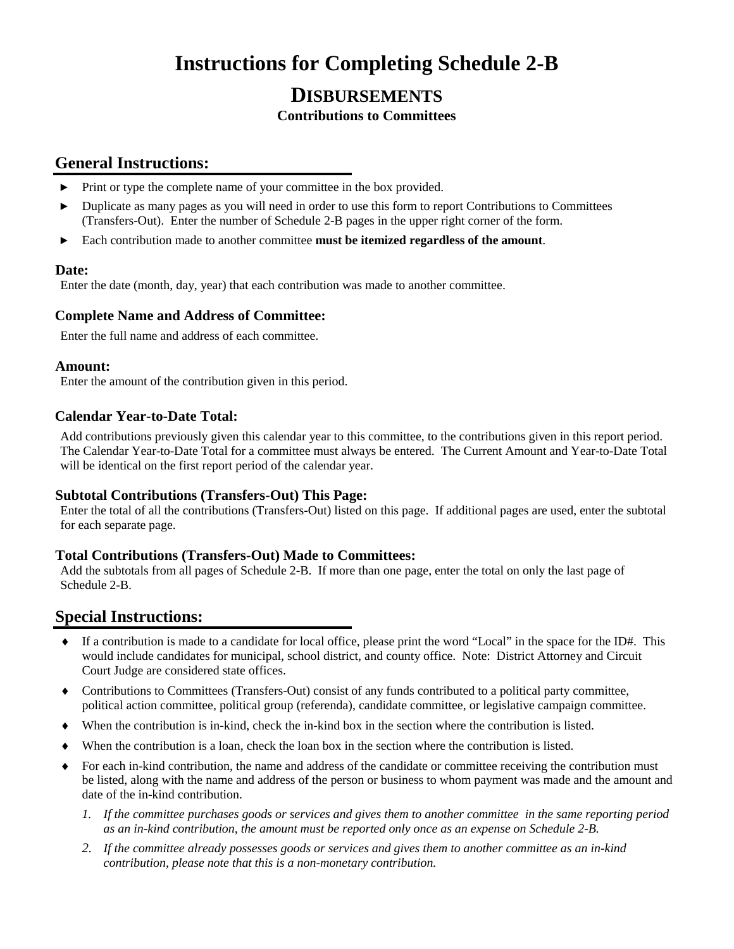# **Instructions for Completing Schedule 2-B**

# **DISBURSEMENTS**

#### **Contributions to Committees**

### **General Instructions:**

- ► Print or type the complete name of your committee in the box provided.
- ► Duplicate as many pages as you will need in order to use this form to report Contributions to Committees (Transfers-Out). Enter the number of Schedule 2-B pages in the upper right corner of the form.
- ► Each contribution made to another committee **must be itemized regardless of the amount**.

#### **Date:**

Enter the date (month, day, year) that each contribution was made to another committee.

#### **Complete Name and Address of Committee:**

Enter the full name and address of each committee.

#### **Amount:**

Enter the amount of the contribution given in this period.

#### **Calendar Year-to-Date Total:**

Add contributions previously given this calendar year to this committee, to the contributions given in this report period. The Calendar Year-to-Date Total for a committee must always be entered. The Current Amount and Year-to-Date Total will be identical on the first report period of the calendar year.

#### **Subtotal Contributions (Transfers-Out) This Page:**

Enter the total of all the contributions (Transfers-Out) listed on this page. If additional pages are used, enter the subtotal for each separate page.

#### **Total Contributions (Transfers-Out) Made to Committees:**

Add the subtotals from all pages of Schedule 2-B. If more than one page, enter the total on only the last page of Schedule 2-B.

- $\bullet$  If a contribution is made to a candidate for local office, please print the word "Local" in the space for the ID#. This would include candidates for municipal, school district, and county office. Note: District Attorney and Circuit Court Judge are considered state offices.
- ♦ Contributions to Committees (Transfers-Out) consist of any funds contributed to a political party committee, political action committee, political group (referenda), candidate committee, or legislative campaign committee.
- When the contribution is in-kind, check the in-kind box in the section where the contribution is listed.
- When the contribution is a loan, check the loan box in the section where the contribution is listed.
- ♦ For each in-kind contribution, the name and address of the candidate or committee receiving the contribution must be listed, along with the name and address of the person or business to whom payment was made and the amount and date of the in-kind contribution.
	- *1. If the committee purchases goods or services and gives them to another committee in the same reporting period as an in-kind contribution, the amount must be reported only once as an expense on Schedule 2-B.*
	- *2. If the committee already possesses goods or services and gives them to another committee as an in-kind contribution, please note that this is a non-monetary contribution.*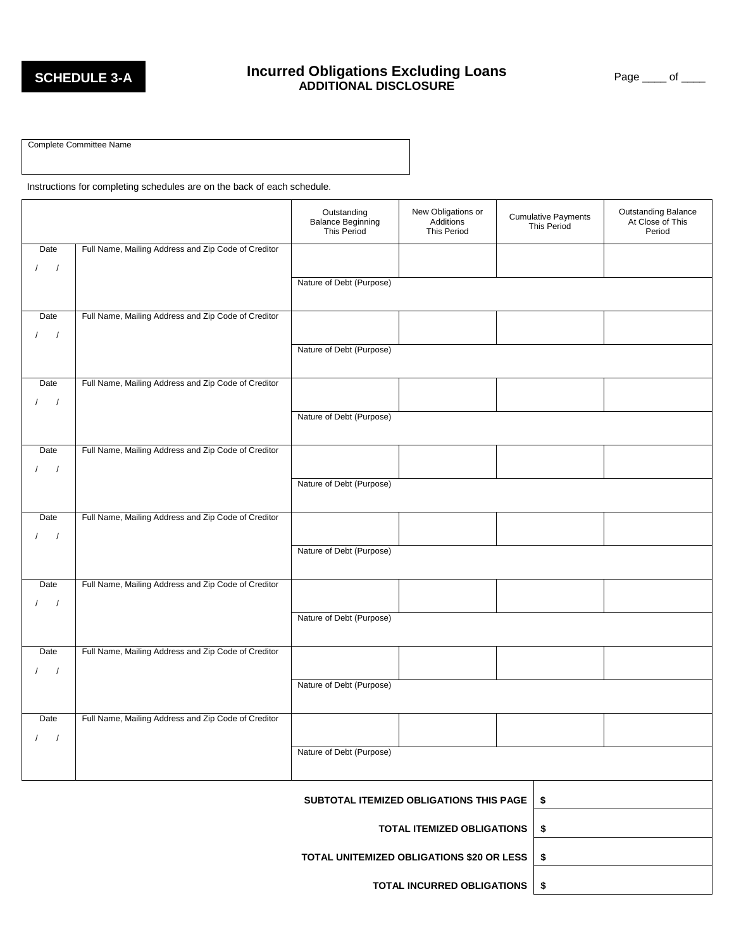# **Incurred Obligations Excluding Loans**<br>ADDITIONAL DISCLOSURE **Page \_\_\_\_ of \_\_\_\_**<br>BLOG ADDITIONAL DISCLOSURE

Complete Committee Name

Instructions for completing schedules are on the back of each schedule.

|                                      |                                                     | Outstanding<br><b>Balance Beginning</b><br><b>This Period</b> | New Obligations or<br>Additions<br><b>This Period</b> |  | Cumulative Payments<br>This Period | <b>Outstanding Balance</b><br>At Close of This<br>Period |
|--------------------------------------|-----------------------------------------------------|---------------------------------------------------------------|-------------------------------------------------------|--|------------------------------------|----------------------------------------------------------|
| Date                                 | Full Name, Mailing Address and Zip Code of Creditor |                                                               |                                                       |  |                                    |                                                          |
| $\frac{1}{2}$                        |                                                     | Nature of Debt (Purpose)                                      |                                                       |  |                                    |                                                          |
|                                      |                                                     |                                                               |                                                       |  |                                    |                                                          |
| Date                                 | Full Name, Mailing Address and Zip Code of Creditor |                                                               |                                                       |  |                                    |                                                          |
| $\prime$<br>$\sqrt{ }$               |                                                     | Nature of Debt (Purpose)                                      |                                                       |  |                                    |                                                          |
|                                      |                                                     |                                                               |                                                       |  |                                    |                                                          |
| Date                                 | Full Name, Mailing Address and Zip Code of Creditor |                                                               |                                                       |  |                                    |                                                          |
| $\prime$<br>$\overline{\phantom{a}}$ |                                                     | Nature of Debt (Purpose)                                      |                                                       |  |                                    |                                                          |
|                                      |                                                     |                                                               |                                                       |  |                                    |                                                          |
| Date                                 | Full Name, Mailing Address and Zip Code of Creditor |                                                               |                                                       |  |                                    |                                                          |
| $\sqrt{ }$                           |                                                     | Nature of Debt (Purpose)                                      |                                                       |  |                                    |                                                          |
|                                      |                                                     |                                                               |                                                       |  |                                    |                                                          |
| Date                                 | Full Name, Mailing Address and Zip Code of Creditor |                                                               |                                                       |  |                                    |                                                          |
| $\prime$<br>$\sqrt{ }$               |                                                     | Nature of Debt (Purpose)                                      |                                                       |  |                                    |                                                          |
|                                      |                                                     |                                                               |                                                       |  |                                    |                                                          |
| Date                                 | Full Name, Mailing Address and Zip Code of Creditor |                                                               |                                                       |  |                                    |                                                          |
| $\sqrt{2}$<br>$\sqrt{ }$             |                                                     | Nature of Debt (Purpose)                                      |                                                       |  |                                    |                                                          |
|                                      |                                                     |                                                               |                                                       |  |                                    |                                                          |
| Date                                 | Full Name, Mailing Address and Zip Code of Creditor |                                                               |                                                       |  |                                    |                                                          |
| $\frac{1}{2}$                        |                                                     | Nature of Debt (Purpose)                                      |                                                       |  |                                    |                                                          |
|                                      |                                                     |                                                               |                                                       |  |                                    |                                                          |
| Date                                 | Full Name, Mailing Address and Zip Code of Creditor |                                                               |                                                       |  |                                    |                                                          |
| $\sqrt{1}$                           |                                                     | Nature of Debt (Purpose)                                      |                                                       |  |                                    |                                                          |
|                                      |                                                     |                                                               |                                                       |  |                                    |                                                          |
|                                      | SUBTOTAL ITEMIZED OBLIGATIONS THIS PAGE<br>\$       |                                                               |                                                       |  |                                    |                                                          |
|                                      |                                                     | <b>TOTAL ITEMIZED OBLIGATIONS</b><br>\$                       |                                                       |  |                                    |                                                          |
|                                      | TOTAL UNITEMIZED OBLIGATIONS \$20 OR LESS<br>\$     |                                                               |                                                       |  |                                    |                                                          |
|                                      | TOTAL INCURRED OBLIGATIONS<br>\$                    |                                                               |                                                       |  |                                    |                                                          |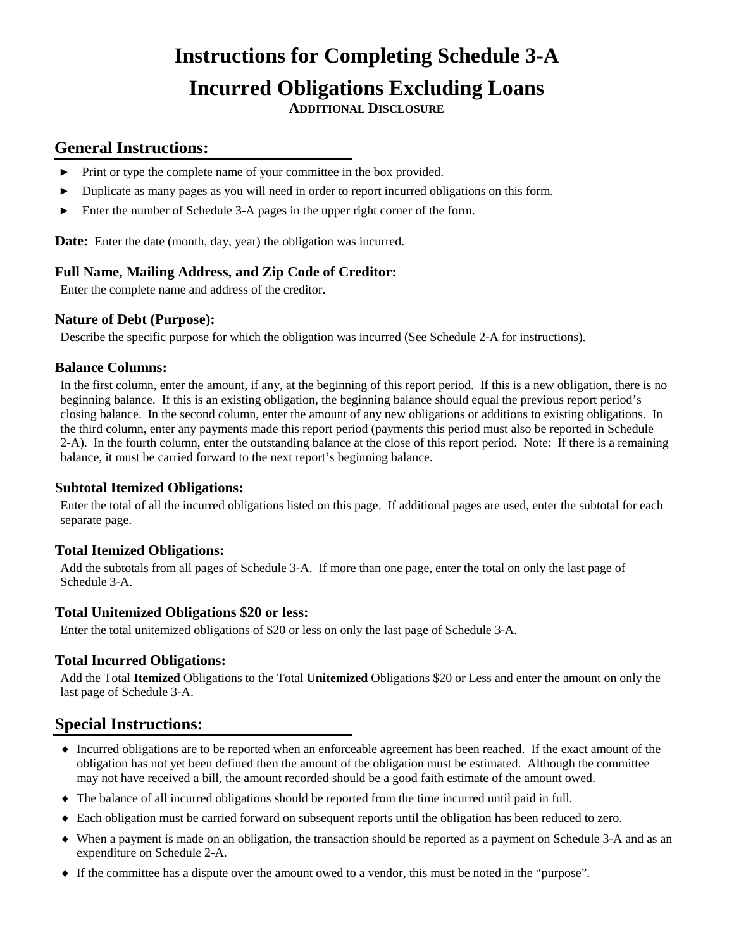# **Instructions for Completing Schedule 3-A Incurred Obligations Excluding Loans**

**ADDITIONAL DISCLOSURE**

### **General Instructions:**

- ► Print or type the complete name of your committee in the box provided.
- ► Duplicate as many pages as you will need in order to report incurred obligations on this form.
- Enter the number of Schedule 3-A pages in the upper right corner of the form.

**Date:** Enter the date (month, day, year) the obligation was incurred.

#### **Full Name, Mailing Address, and Zip Code of Creditor:**

Enter the complete name and address of the creditor.

#### **Nature of Debt (Purpose):**

Describe the specific purpose for which the obligation was incurred (See Schedule 2-A for instructions).

#### **Balance Columns:**

In the first column, enter the amount, if any, at the beginning of this report period. If this is a new obligation, there is no beginning balance. If this is an existing obligation, the beginning balance should equal the previous report period's closing balance. In the second column, enter the amount of any new obligations or additions to existing obligations. In the third column, enter any payments made this report period (payments this period must also be reported in Schedule 2-A). In the fourth column, enter the outstanding balance at the close of this report period. Note: If there is a remaining balance, it must be carried forward to the next report's beginning balance.

#### **Subtotal Itemized Obligations:**

Enter the total of all the incurred obligations listed on this page. If additional pages are used, enter the subtotal for each separate page.

#### **Total Itemized Obligations:**

Add the subtotals from all pages of Schedule 3-A. If more than one page, enter the total on only the last page of Schedule 3-A.

#### **Total Unitemized Obligations \$20 or less:**

Enter the total unitemized obligations of \$20 or less on only the last page of Schedule 3-A.

#### **Total Incurred Obligations:**

Add the Total **Itemized** Obligations to the Total **Unitemized** Obligations \$20 or Less and enter the amount on only the last page of Schedule 3-A.

- ♦ Incurred obligations are to be reported when an enforceable agreement has been reached. If the exact amount of the obligation has not yet been defined then the amount of the obligation must be estimated. Although the committee may not have received a bill, the amount recorded should be a good faith estimate of the amount owed.
- ♦ The balance of all incurred obligations should be reported from the time incurred until paid in full.
- ♦ Each obligation must be carried forward on subsequent reports until the obligation has been reduced to zero.
- ♦ When a payment is made on an obligation, the transaction should be reported as a payment on Schedule 3-A and as an expenditure on Schedule 2-A.
- ♦ If the committee has a dispute over the amount owed to a vendor, this must be noted in the "purpose".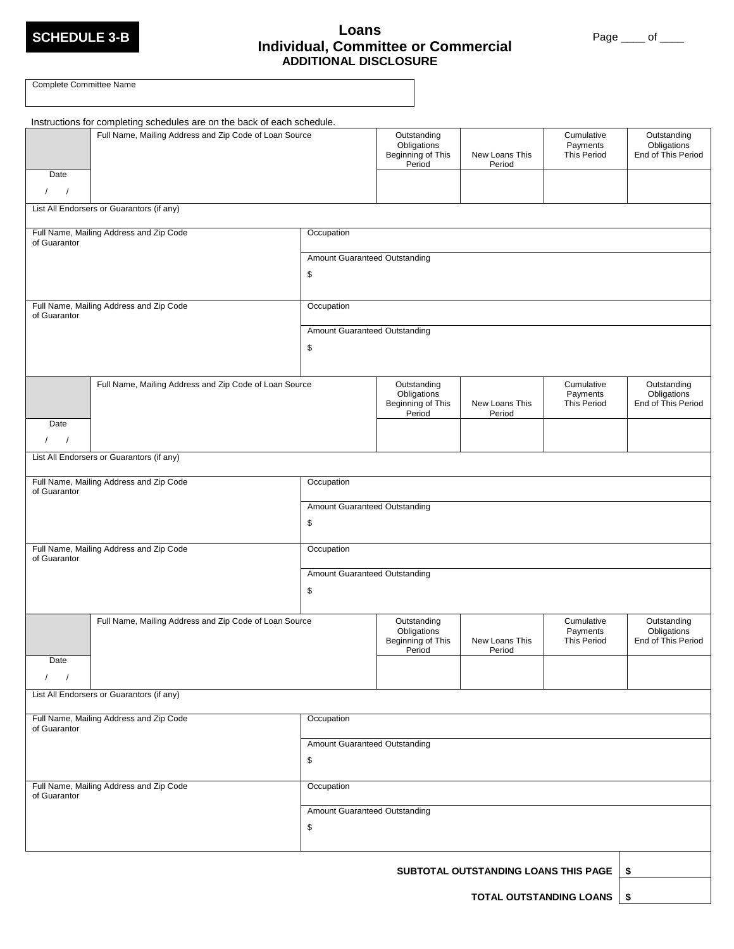

#### **SCHEDULE 3-B Loans Individual, Committee or Commercial ADDITIONAL DISCLOSURE**

Page \_\_\_\_ of \_\_\_\_

| Complete Committee Name                                        |                                                                                                                                   |                                                           |                                      |                                       |                                                  |
|----------------------------------------------------------------|-----------------------------------------------------------------------------------------------------------------------------------|-----------------------------------------------------------|--------------------------------------|---------------------------------------|--------------------------------------------------|
| Date<br>$1 \quad 1$                                            | Instructions for completing schedules are on the back of each schedule.<br>Full Name, Mailing Address and Zip Code of Loan Source |                                                           | New Loans This<br>Period             | Cumulative<br>Payments<br>This Period | Outstanding<br>Obligations<br>End of This Period |
| List All Endorsers or Guarantors (if any)                      |                                                                                                                                   |                                                           |                                      |                                       |                                                  |
| Full Name, Mailing Address and Zip Code<br>of Guarantor        | Occupation                                                                                                                        |                                                           |                                      |                                       |                                                  |
|                                                                | Amount Guaranteed Outstanding<br>\$                                                                                               |                                                           |                                      |                                       |                                                  |
| Full Name, Mailing Address and Zip Code<br>of Guarantor        | Occupation                                                                                                                        |                                                           |                                      |                                       |                                                  |
|                                                                | Amount Guaranteed Outstanding<br>\$                                                                                               |                                                           |                                      |                                       |                                                  |
| Full Name, Mailing Address and Zip Code of Loan Source         |                                                                                                                                   | Outstanding<br>Obligations<br>Beginning of This<br>Period | New Loans This<br>Period             | Cumulative<br>Payments<br>This Period | Outstanding<br>Obligations<br>End of This Period |
| Date<br>$\frac{1}{2}$                                          |                                                                                                                                   |                                                           |                                      |                                       |                                                  |
| List All Endorsers or Guarantors (if any)                      |                                                                                                                                   |                                                           |                                      |                                       |                                                  |
| Full Name, Mailing Address and Zip Code<br>of Guarantor        | Occupation                                                                                                                        |                                                           |                                      |                                       |                                                  |
|                                                                | Amount Guaranteed Outstanding<br>\$                                                                                               |                                                           |                                      |                                       |                                                  |
| Full Name, Mailing Address and Zip Code<br>of Guarantor        | Occupation                                                                                                                        |                                                           |                                      |                                       |                                                  |
|                                                                | Amount Guaranteed Outstanding<br>\$                                                                                               |                                                           |                                      |                                       |                                                  |
| Full Name, Mailing Address and Zip Code of Loan Source<br>Date |                                                                                                                                   | Outstanding<br>Obligations<br>Beginning of This<br>Period | New Loans This<br>Period             | Cumulative<br>Payments<br>This Period | Outstanding<br>Obligations<br>End of This Period |
| $\sqrt{ }$                                                     |                                                                                                                                   |                                                           |                                      |                                       |                                                  |
| List All Endorsers or Guarantors (if any)                      |                                                                                                                                   |                                                           |                                      |                                       |                                                  |
| Full Name, Mailing Address and Zip Code<br>of Guarantor        | Occupation                                                                                                                        |                                                           |                                      |                                       |                                                  |
|                                                                | Amount Guaranteed Outstanding<br>\$                                                                                               |                                                           |                                      |                                       |                                                  |
| Full Name, Mailing Address and Zip Code<br>of Guarantor        | Occupation                                                                                                                        |                                                           |                                      |                                       |                                                  |
|                                                                | Amount Guaranteed Outstanding<br>\$                                                                                               |                                                           |                                      |                                       |                                                  |
|                                                                |                                                                                                                                   |                                                           | SUBTOTAL OUTSTANDING LOANS THIS PAGE |                                       | - \$                                             |

**TOTAL OUTSTANDING LOANS \$**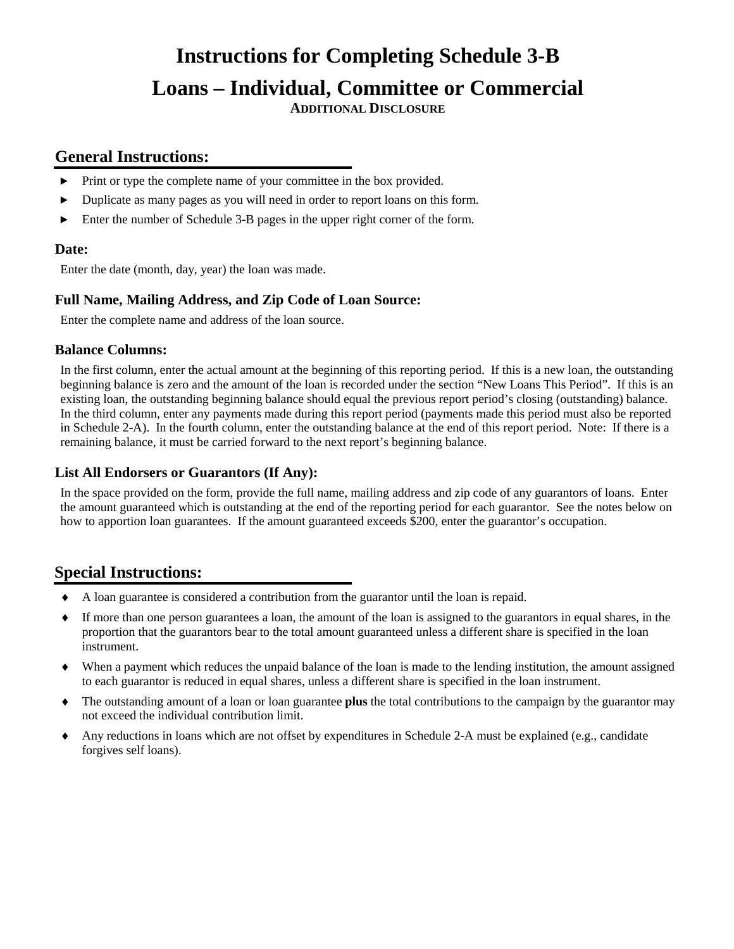# **Instructions for Completing Schedule 3-B Loans – Individual, Committee or Commercial**

**ADDITIONAL DISCLOSURE**

### **General Instructions:**

- ► Print or type the complete name of your committee in the box provided.
- ► Duplicate as many pages as you will need in order to report loans on this form.
- ► Enter the number of Schedule 3-B pages in the upper right corner of the form.

#### **Date:**

Enter the date (month, day, year) the loan was made.

#### **Full Name, Mailing Address, and Zip Code of Loan Source:**

Enter the complete name and address of the loan source.

#### **Balance Columns:**

In the first column, enter the actual amount at the beginning of this reporting period. If this is a new loan, the outstanding beginning balance is zero and the amount of the loan is recorded under the section "New Loans This Period". If this is an existing loan, the outstanding beginning balance should equal the previous report period's closing (outstanding) balance. In the third column, enter any payments made during this report period (payments made this period must also be reported in Schedule 2-A). In the fourth column, enter the outstanding balance at the end of this report period. Note: If there is a remaining balance, it must be carried forward to the next report's beginning balance.

#### **List All Endorsers or Guarantors (If Any):**

In the space provided on the form, provide the full name, mailing address and zip code of any guarantors of loans. Enter the amount guaranteed which is outstanding at the end of the reporting period for each guarantor. See the notes below on how to apportion loan guarantees. If the amount guaranteed exceeds \$200, enter the guarantor's occupation.

- ♦ A loan guarantee is considered a contribution from the guarantor until the loan is repaid.
- If more than one person guarantees a loan, the amount of the loan is assigned to the guarantors in equal shares, in the proportion that the guarantors bear to the total amount guaranteed unless a different share is specified in the loan instrument.
- When a payment which reduces the unpaid balance of the loan is made to the lending institution, the amount assigned to each guarantor is reduced in equal shares, unless a different share is specified in the loan instrument.
- ♦ The outstanding amount of a loan or loan guarantee **plus** the total contributions to the campaign by the guarantor may not exceed the individual contribution limit.
- ♦ Any reductions in loans which are not offset by expenditures in Schedule 2-A must be explained (e.g., candidate forgives self loans).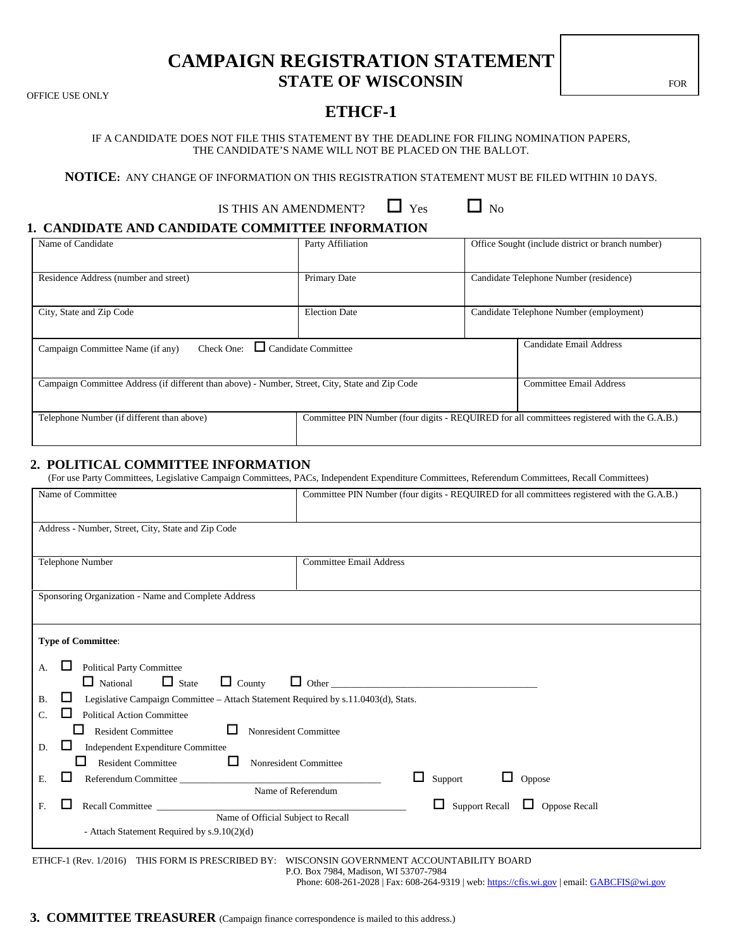### **CAMPAIGN REGISTRATION STATEMENT STATE OF WISCONSIN**

OFFICE USE ONLY

### **ETHCF-1**

IF A CANDIDATE DOES NOT FILE THIS STATEMENT BY THE DEADLINE FOR FILING NOMINATION PAPERS, THE CANDIDATE'S NAME WILL NOT BE PLACED ON THE BALLOT.

**NOTICE:** ANY CHANGE OF INFORMATION ON THIS REGISTRATION STATEMENT MUST BE FILED WITHIN 10 DAYS.

| IS THIS AN AMENDMENT? | $\Box$ Yes | $\Box$ No |
|-----------------------|------------|-----------|
|-----------------------|------------|-----------|

#### **1. CANDIDATE AND CANDIDATE COMMITTEE INFORMATION**

| Name of Candidate                                                                               | Party Affiliation          | Office Sought (include district or branch number)                                           |  |  |
|-------------------------------------------------------------------------------------------------|----------------------------|---------------------------------------------------------------------------------------------|--|--|
| Residence Address (number and street)                                                           | Primary Date               | Candidate Telephone Number (residence)                                                      |  |  |
| City, State and Zip Code                                                                        | <b>Election Date</b>       | Candidate Telephone Number (employment)                                                     |  |  |
| Check One:<br>Campaign Committee Name (if any)                                                  | $\Box$ Candidate Committee | Candidate Email Address                                                                     |  |  |
| Campaign Committee Address (if different than above) - Number, Street, City, State and Zip Code |                            | Committee Email Address                                                                     |  |  |
| Telephone Number (if different than above)                                                      |                            | Committee PIN Number (four digits - REQUIRED for all committees registered with the G.A.B.) |  |  |

#### **2. POLITICAL COMMITTEE INFORMATION**

(For use Party Committees, Legislative Campaign Committees, PACs, Independent Expenditure Committees, Referendum Committees, Recall Committees)

| Name of Committee                                                                                    | Committee PIN Number (four digits - REQUIRED for all committees registered with the G.A.B.) |
|------------------------------------------------------------------------------------------------------|---------------------------------------------------------------------------------------------|
| Address - Number, Street, City, State and Zip Code                                                   |                                                                                             |
| Telephone Number                                                                                     | <b>Committee Email Address</b>                                                              |
| Sponsoring Organization - Name and Complete Address                                                  |                                                                                             |
| <b>Type of Committee:</b>                                                                            |                                                                                             |
| Political Party Committee<br>А.                                                                      |                                                                                             |
| $\Box$ National<br>$\Box$ County<br>$\Box$ State                                                     | $\Box$ Other                                                                                |
| Legislative Campaign Committee - Attach Statement Required by s.11.0403(d), Stats.<br><b>B.</b><br>ப |                                                                                             |
| <b>Political Action Committee</b><br>C.<br>l l                                                       |                                                                                             |
| ப<br>Nonresident Committee<br><b>Resident Committee</b><br>l I                                       |                                                                                             |
| Independent Expenditure Committee<br>ப<br>D.                                                         |                                                                                             |
| □<br><b>Resident Committee</b><br>Nonresident Committee                                              |                                                                                             |
| Referendum Committee<br>ы<br>Е.                                                                      | ⊔<br>Support<br>ப<br>Oppose                                                                 |
| Name of Referendum                                                                                   |                                                                                             |
| Recall Committee<br>ы<br>F.                                                                          | Support Recall $\Box$ Oppose Recall<br>ш                                                    |
| Name of Official Subject to Recall<br>- Attach Statement Required by s.9.10(2)(d)                    |                                                                                             |
| ETHCF-1 (Rev. 1/2016) THIS FORM IS PRESCRIBED BY: WISCONSIN GOVERNMENT ACCOUNTABILITY BOARD          |                                                                                             |

P.O. Box 7984, Madison, WI 53707-7984

Phone: 608-261-2028 | Fax: 608-264-9319 | web: [https://cfis.wi.gov](https://cfis.wi.gov/) | email[: GABCFIS@wi.gov](mailto:GABCFIS@wi.gov)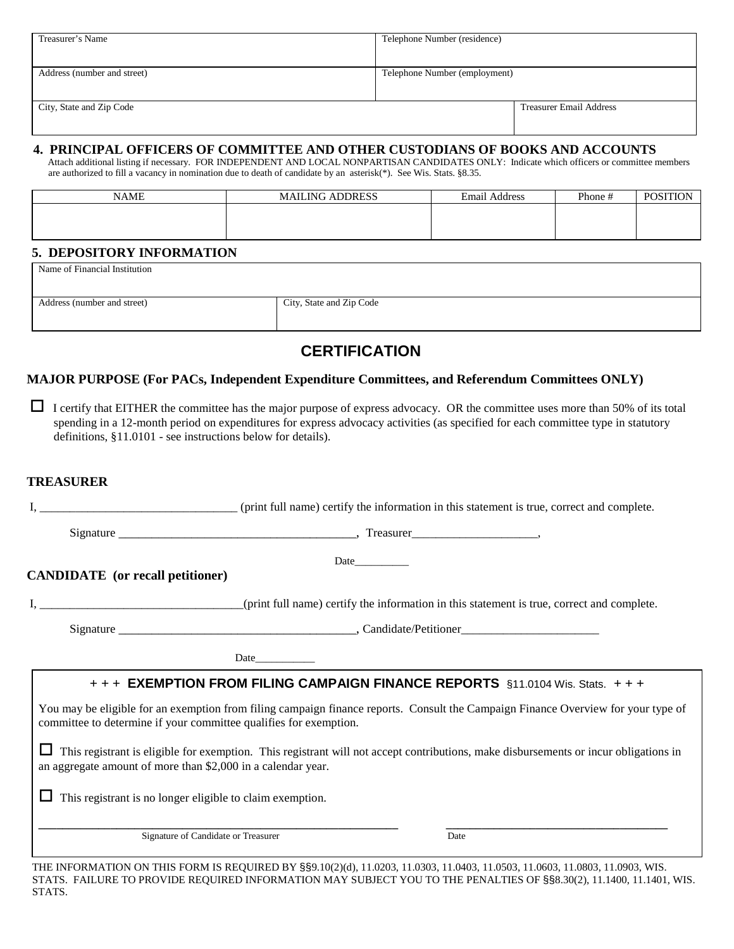| Treasurer's Name            | Telephone Number (residence)   |
|-----------------------------|--------------------------------|
|                             |                                |
| Address (number and street) | Telephone Number (employment)  |
|                             |                                |
| City, State and Zip Code    | <b>Treasurer Email Address</b> |
|                             |                                |

# 4. PRINCIPAL OFFICERS OF COMMITTEE AND OTHER CUSTODIANS OF BOOKS AND ACCOUNTS<br>Attach additional listing if necessary. FOR INDEPENDENT AND LOCAL NONPARTISAN CANDIDATES ONLY: Indicate which officers or committee members

are authorized to fill a vacancy in nomination due to death of candidate by an asterisk(\*). See Wis. Stats. §8.35.

| <b>NAME</b> | <b>MAILING ADDRESS</b> | <b>Email Address</b> | Phone # | <b>POSITION</b> |
|-------------|------------------------|----------------------|---------|-----------------|
|             |                        |                      |         |                 |
|             |                        |                      |         |                 |
|             |                        |                      |         |                 |

#### **5. DEPOSITORY INFORMATION**

Name of Financial Institution

| Address (number and street) | City, State and Zip Code |
|-----------------------------|--------------------------|
|                             |                          |
|                             |                          |
|                             |                          |

### **CERTIFICATION**

#### **MAJOR PURPOSE (For PACs, Independent Expenditure Committees, and Referendum Committees ONLY)**

 I certify that EITHER the committee has the major purpose of express advocacy. OR the committee uses more than 50% of its total spending in a 12-month period on expenditures for express advocacy activities (as specified for each committee type in statutory definitions, §11.0101 - see instructions below for details).

#### **TREASURER**

| (print full name) certify the information in this statement is true, correct and complete. |                                                                   |                                                                                                                                      |  |
|--------------------------------------------------------------------------------------------|-------------------------------------------------------------------|--------------------------------------------------------------------------------------------------------------------------------------|--|
|                                                                                            |                                                                   |                                                                                                                                      |  |
| <b>CANDIDATE</b> (or recall petitioner)                                                    |                                                                   | <b>Date</b>                                                                                                                          |  |
|                                                                                            |                                                                   |                                                                                                                                      |  |
|                                                                                            |                                                                   |                                                                                                                                      |  |
|                                                                                            |                                                                   |                                                                                                                                      |  |
|                                                                                            |                                                                   | + + + EXEMPTION FROM FILING CAMPAIGN FINANCE REPORTS §11.0104 Wis. Stats. + + +                                                      |  |
|                                                                                            | committee to determine if your committee qualifies for exemption. | You may be eligible for an exemption from filing campaign finance reports. Consult the Campaign Finance Overview for your type of    |  |
|                                                                                            | an aggregate amount of more than \$2,000 in a calendar year.      | This registrant is eligible for exemption. This registrant will not accept contributions, make disbursements or incur obligations in |  |
|                                                                                            | This registrant is no longer eligible to claim exemption.         |                                                                                                                                      |  |
|                                                                                            | Signature of Candidate or Treasurer                               | Date                                                                                                                                 |  |
|                                                                                            |                                                                   |                                                                                                                                      |  |

THE INFORMATION ON THIS FORM IS REQUIRED BY §§9.10(2)(d), 11.0203, 11.0303, 11.0403, 11.0503, 11.0603, 11.0803, 11.0903, WIS. STATS. FAILURE TO PROVIDE REQUIRED INFORMATION MAY SUBJECT YOU TO THE PENALTIES OF §§8.30(2), 11.1400, 11.1401, WIS. STATS.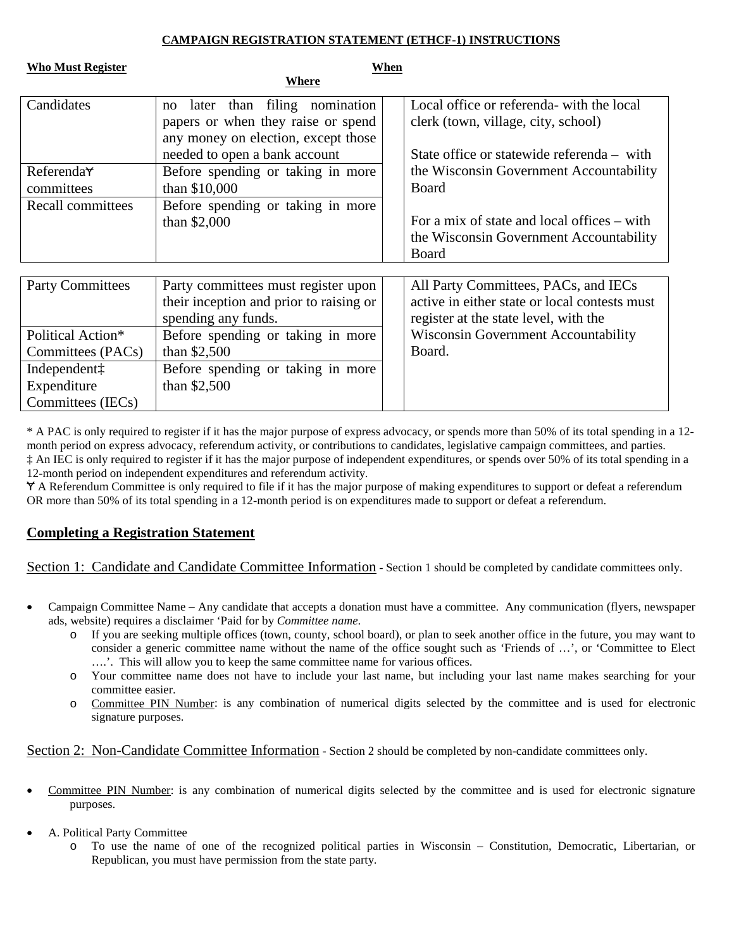#### **CAMPAIGN REGISTRATION STATEMENT (ETHCF-1) INSTRUCTIONS**

| <b>Who Must Register</b>                                     | Where                                                                                                                                            | When |                                                                                                                                |
|--------------------------------------------------------------|--------------------------------------------------------------------------------------------------------------------------------------------------|------|--------------------------------------------------------------------------------------------------------------------------------|
| Candidates                                                   | later than filing nomination<br>no<br>papers or when they raise or spend<br>any money on election, except those<br>needed to open a bank account |      | Local office or referenda- with the local<br>clerk (town, village, city, school)<br>State office or statewide referenda – with |
| Referenda <sub>Y</sub><br>committees                         | Before spending or taking in more<br>than \$10,000                                                                                               |      | the Wisconsin Government Accountability<br><b>Board</b>                                                                        |
| Recall committees                                            | Before spending or taking in more<br>than $$2,000$                                                                                               |      | For a mix of state and local offices $-$ with<br>the Wisconsin Government Accountability<br>Board                              |
| <b>Party Committees</b>                                      | Party committees must register upon<br>their inception and prior to raising or<br>spending any funds.                                            |      | All Party Committees, PACs, and IECs<br>active in either state or local contests must<br>register at the state level, with the |
| Political Action*<br>Committees (PACs)                       | Before spending or taking in more<br>than $$2,500$                                                                                               |      | <b>Wisconsin Government Accountability</b><br>Board.                                                                           |
| Independent <sup>†</sup><br>Expenditure<br>Committees (IECs) | Before spending or taking in more<br>than $$2,500$                                                                                               |      |                                                                                                                                |

\* A PAC is only required to register if it has the major purpose of express advocacy, or spends more than 50% of its total spending in a 12 month period on express advocacy, referendum activity, or contributions to candidates, legislative campaign committees, and parties. ‡ An IEC is only required to register if it has the major purpose of independent expenditures, or spends over 50% of its total spending in a 12-month period on independent expenditures and referendum activity.

Ɏ A Referendum Committee is only required to file if it has the major purpose of making expenditures to support or defeat a referendum OR more than 50% of its total spending in a 12-month period is on expenditures made to support or defeat a referendum.

#### **Completing a Registration Statement**

Section 1: Candidate and Candidate Committee Information - Section 1 should be completed by candidate committees only.

- Campaign Committee Name Any candidate that accepts a donation must have a committee. Any communication (flyers, newspaper ads, website) requires a disclaimer 'Paid for by *Committee name*.
	- o If you are seeking multiple offices (town, county, school board), or plan to seek another office in the future, you may want to consider a generic committee name without the name of the office sought such as 'Friends of …', or 'Committee to Elect ….'. This will allow you to keep the same committee name for various offices.
	- o Your committee name does not have to include your last name, but including your last name makes searching for your committee easier.
	- o Committee PIN Number: is any combination of numerical digits selected by the committee and is used for electronic signature purposes.

Section 2: Non-Candidate Committee Information - Section 2 should be completed by non-candidate committees only.

- Committee PIN Number: is any combination of numerical digits selected by the committee and is used for electronic signature purposes.
- A. Political Party Committee
	- o To use the name of one of the recognized political parties in Wisconsin Constitution, Democratic, Libertarian, or Republican, you must have permission from the state party.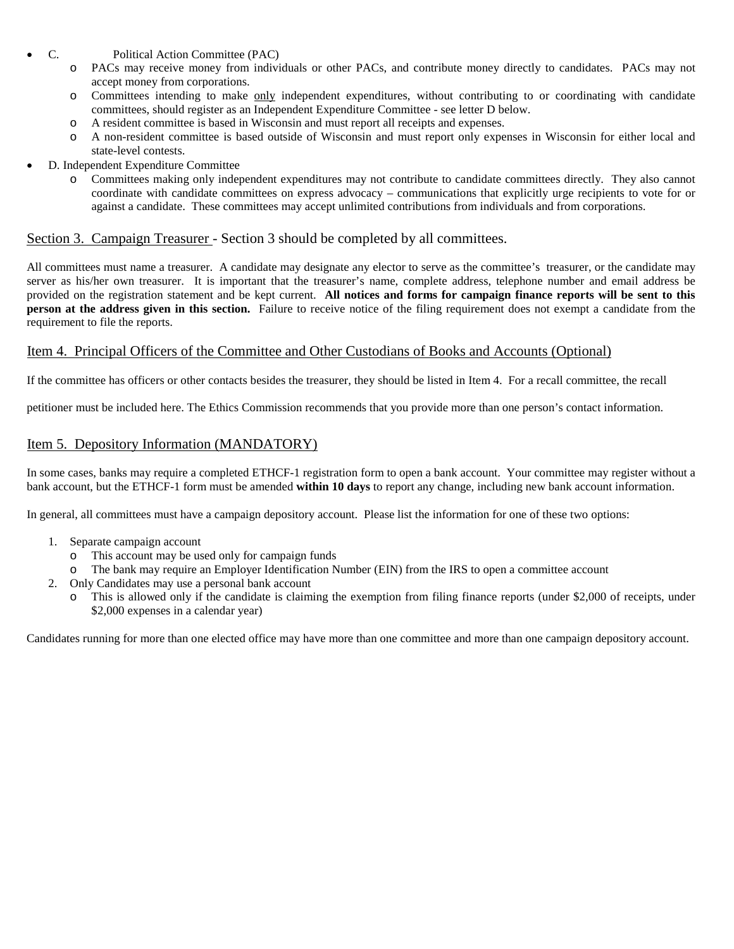- C. Political Action Committee (PAC)
	- o PACs may receive money from individuals or other PACs, and contribute money directly to candidates. PACs may not accept money from corporations.
	- o Committees intending to make only independent expenditures, without contributing to or coordinating with candidate committees, should register as an Independent Expenditure Committee - see letter D below.
	- o A resident committee is based in Wisconsin and must report all receipts and expenses.
	- o A non-resident committee is based outside of Wisconsin and must report only expenses in Wisconsin for either local and state-level contests.
- D. Independent Expenditure Committee
	- o Committees making only independent expenditures may not contribute to candidate committees directly. They also cannot coordinate with candidate committees on express advocacy – communications that explicitly urge recipients to vote for or against a candidate. These committees may accept unlimited contributions from individuals and from corporations.

#### Section 3. Campaign Treasurer - Section 3 should be completed by all committees.

All committees must name a treasurer. A candidate may designate any elector to serve as the committee's treasurer, or the candidate may server as his/her own treasurer. It is important that the treasurer's name, complete address, telephone number and email address be provided on the registration statement and be kept current. **All notices and forms for campaign finance reports will be sent to this person at the address given in this section.** Failure to receive notice of the filing requirement does not exempt a candidate from the requirement to file the reports.

#### Item 4. Principal Officers of the Committee and Other Custodians of Books and Accounts (Optional)

If the committee has officers or other contacts besides the treasurer, they should be listed in Item 4. For a recall committee, the recall

petitioner must be included here. The Ethics Commission recommends that you provide more than one person's contact information.

#### Item 5. Depository Information (MANDATORY)

In some cases, banks may require a completed ETHCF-1 registration form to open a bank account. Your committee may register without a bank account, but the ETHCF-1 form must be amended **within 10 days** to report any change, including new bank account information.

In general, all committees must have a campaign depository account. Please list the information for one of these two options:

- 1. Separate campaign account
	- o This account may be used only for campaign funds
	- The bank may require an Employer Identification Number (EIN) from the IRS to open a committee account
- 2. Only Candidates may use a personal bank account
	- o This is allowed only if the candidate is claiming the exemption from filing finance reports (under \$2,000 of receipts, under \$2,000 expenses in a calendar year)

Candidates running for more than one elected office may have more than one committee and more than one campaign depository account.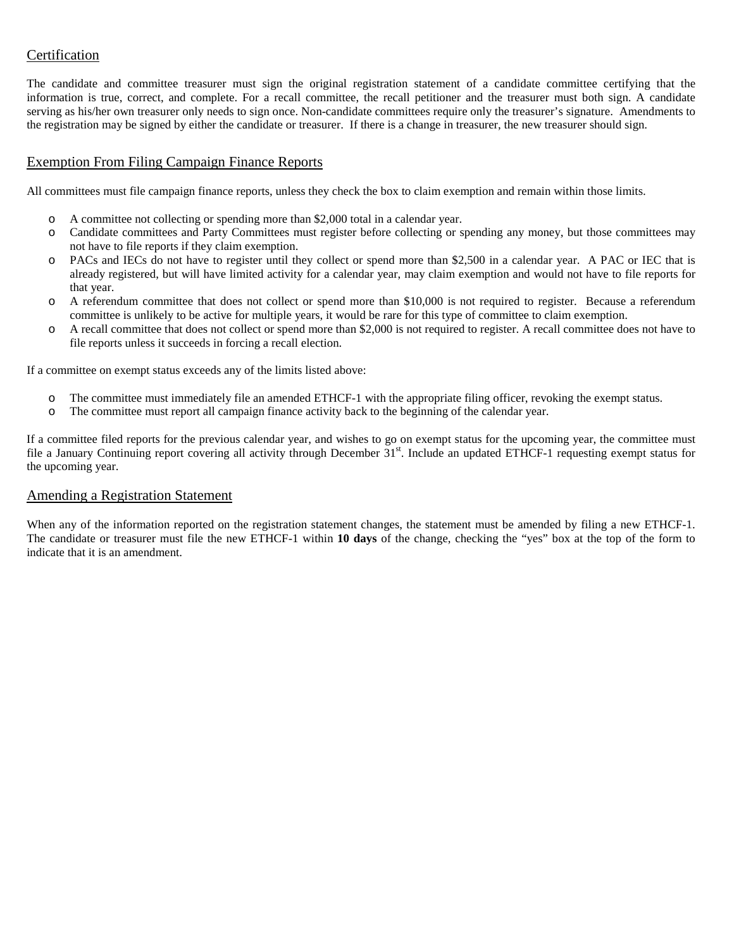#### Certification

The candidate and committee treasurer must sign the original registration statement of a candidate committee certifying that the information is true, correct, and complete. For a recall committee, the recall petitioner and the treasurer must both sign. A candidate serving as his/her own treasurer only needs to sign once. Non-candidate committees require only the treasurer's signature. Amendments to the registration may be signed by either the candidate or treasurer. If there is a change in treasurer, the new treasurer should sign.

#### Exemption From Filing Campaign Finance Reports

All committees must file campaign finance reports, unless they check the box to claim exemption and remain within those limits.

- o A committee not collecting or spending more than \$2,000 total in a calendar year.
- o Candidate committees and Party Committees must register before collecting or spending any money, but those committees may not have to file reports if they claim exemption.
- o PACs and IECs do not have to register until they collect or spend more than \$2,500 in a calendar year. A PAC or IEC that is already registered, but will have limited activity for a calendar year, may claim exemption and would not have to file reports for that year.
- o A referendum committee that does not collect or spend more than \$10,000 is not required to register. Because a referendum committee is unlikely to be active for multiple years, it would be rare for this type of committee to claim exemption.
- o A recall committee that does not collect or spend more than \$2,000 is not required to register. A recall committee does not have to file reports unless it succeeds in forcing a recall election.

If a committee on exempt status exceeds any of the limits listed above:

- $\circ$  The committee must immediately file an amended ETHCF-1 with the appropriate filing officer, revoking the exempt status.<br>  $\circ$  The committee must report all campaign finance activity back to the beginning of the calen
- The committee must report all campaign finance activity back to the beginning of the calendar year.

If a committee filed reports for the previous calendar year, and wishes to go on exempt status for the upcoming year, the committee must file a January Continuing report covering all activity through December  $31<sup>st</sup>$ . Include an updated ETHCF-1 requesting exempt status for the upcoming year.

#### Amending a Registration Statement

When any of the information reported on the registration statement changes, the statement must be amended by filing a new ETHCF-1. The candidate or treasurer must file the new ETHCF-1 within **10 days** of the change, checking the "yes" box at the top of the form to indicate that it is an amendment.